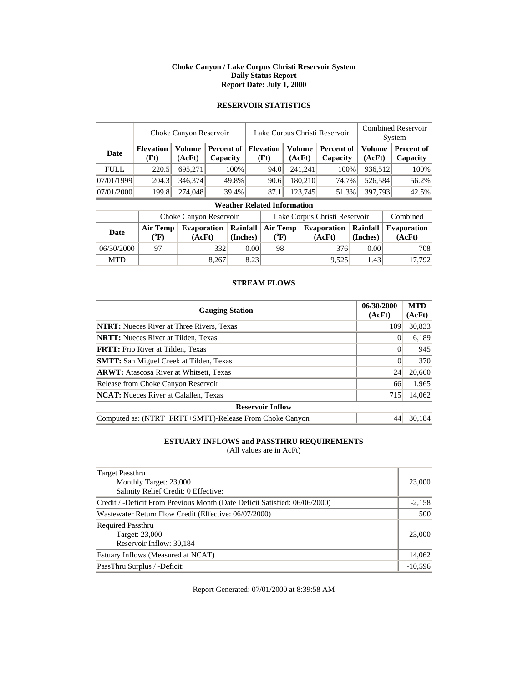### **Choke Canyon / Lake Corpus Christi Reservoir System Daily Status Report Report Date: July 1, 2000**

### **RESERVOIR STATISTICS**

|             | Choke Canyon Reservoir                |                              |       | Lake Corpus Christi Reservoir           |                               | <b>Combined Reservoir</b><br>System |  |                         |                              |                         |  |                              |
|-------------|---------------------------------------|------------------------------|-------|-----------------------------------------|-------------------------------|-------------------------------------|--|-------------------------|------------------------------|-------------------------|--|------------------------------|
| <b>Date</b> | <b>Elevation</b><br>(Ft)              | <b>Volume</b><br>(AcFt)      |       | <b>Percent of Elevation</b><br>Capacity |                               | (Ft)                                |  | <b>Volume</b><br>(AcFt) | Percent of<br>Capacity       | <b>Volume</b><br>(AcFt) |  | Percent of<br>Capacity       |
| <b>FULL</b> | 220.5                                 | 695,271                      |       | 100%                                    |                               | 241,241<br>94.0                     |  |                         | 100%                         | 936,512                 |  | 100%                         |
| 07/01/1999  | 204.3                                 | 346,374                      |       | 49.8%                                   |                               | 90.6                                |  | 180,210                 | 74.7%                        | 526,584                 |  | 56.2%                        |
| 07/01/2000  | 199.8                                 | 274,048                      |       | 39.4%                                   |                               | 87.1                                |  | 123,745                 | 51.3%                        | 397,793                 |  | 42.5%                        |
|             |                                       |                              |       |                                         |                               | <b>Weather Related Information</b>  |  |                         |                              |                         |  |                              |
|             |                                       | Choke Canyon Reservoir       |       |                                         | Lake Corpus Christi Reservoir |                                     |  |                         |                              | Combined                |  |                              |
| Date        | <b>Air Temp</b><br>$(^{0}\mathrm{F})$ | <b>Evaporation</b><br>(AcFt) |       | Rainfall<br>(Inches)                    |                               | <b>Air Temp</b><br>$(^{0}F)$        |  |                         | <b>Evaporation</b><br>(AcFt) | Rainfall<br>(Inches)    |  | <b>Evaporation</b><br>(AcFt) |
| 06/30/2000  | 97                                    |                              | 332   | 0.00                                    |                               | 98                                  |  |                         | 376                          | 0.00                    |  | 708                          |
| <b>MTD</b>  |                                       |                              | 8.267 |                                         | 8.23                          |                                     |  |                         | 9,525                        | 1.43                    |  | 17,792                       |

### **STREAM FLOWS**

| <b>Gauging Station</b>                                  | 06/30/2000<br>(AcFt) | <b>MTD</b><br>(AcFt) |
|---------------------------------------------------------|----------------------|----------------------|
| <b>NTRT:</b> Nueces River at Three Rivers, Texas        | 109                  | 30,833               |
| <b>NRTT:</b> Nueces River at Tilden, Texas              |                      | 6,189                |
| <b>FRTT:</b> Frio River at Tilden, Texas                |                      | 945                  |
| <b>SMTT:</b> San Miguel Creek at Tilden, Texas          |                      | 370                  |
| <b>ARWT:</b> Atascosa River at Whitsett, Texas          | 24                   | 20,660               |
| Release from Choke Canyon Reservoir                     | 66                   | 1,965                |
| <b>NCAT:</b> Nueces River at Calallen, Texas            | 715                  | 14,062               |
| <b>Reservoir Inflow</b>                                 |                      |                      |
| Computed as: (NTRT+FRTT+SMTT)-Release From Choke Canyon | 44                   | 30,184               |

# **ESTUARY INFLOWS and PASSTHRU REQUIREMENTS**

(All values are in AcFt)

| Target Passthru                                                            |           |
|----------------------------------------------------------------------------|-----------|
| Monthly Target: 23,000                                                     | 23,000    |
| Salinity Relief Credit: 0 Effective:                                       |           |
| Credit / -Deficit From Previous Month (Date Deficit Satisfied: 06/06/2000) | $-2,158$  |
| Wastewater Return Flow Credit (Effective: 06/07/2000)                      | 500       |
| <b>Required Passthru</b>                                                   |           |
| Target: 23,000                                                             | 23,000    |
| Reservoir Inflow: 30,184                                                   |           |
| Estuary Inflows (Measured at NCAT)                                         | 14,062    |
| PassThru Surplus / -Deficit:                                               | $-10,596$ |

Report Generated: 07/01/2000 at 8:39:58 AM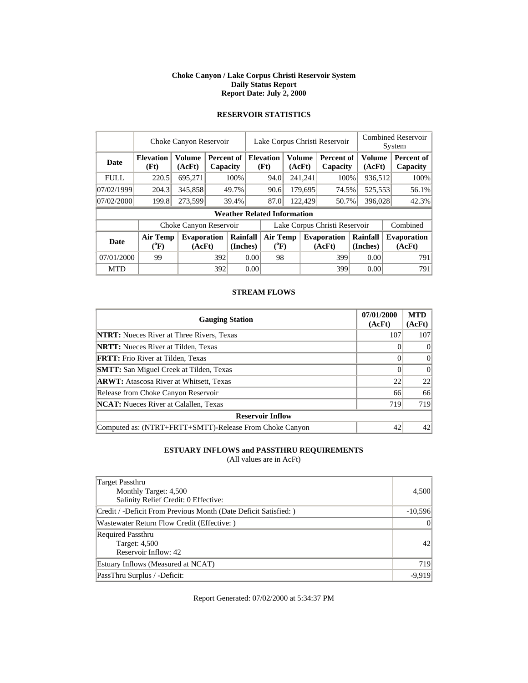#### **Choke Canyon / Lake Corpus Christi Reservoir System Daily Status Report Report Date: July 2, 2000**

|             | Choke Canyon Reservoir                |                              |     |                               |                                       | Lake Corpus Christi Reservoir                |         |                 |                              |                      |  | <b>Combined Reservoir</b><br>System |  |  |
|-------------|---------------------------------------|------------------------------|-----|-------------------------------|---------------------------------------|----------------------------------------------|---------|-----------------|------------------------------|----------------------|--|-------------------------------------|--|--|
| <b>Date</b> | <b>Elevation</b><br>(Ft)              | <b>Volume</b><br>(AcFt)      |     | <b>Percent of</b><br>Capacity |                                       | <b>Elevation</b><br>Volume<br>(Ft)<br>(AcFt) |         |                 | Percent of<br>Capacity       | Volume<br>(AcFt)     |  | <b>Percent of</b><br>Capacity       |  |  |
| <b>FULL</b> | 220.5                                 | 695,271                      |     | 100%                          |                                       | 94.0                                         |         | 241,241<br>100% |                              | 936,512              |  | 100%                                |  |  |
| 07/02/1999  | 204.3                                 | 345,858                      |     | 49.7%                         |                                       | 90.6                                         |         | 179,695         | 74.5%                        | 525,553              |  | 56.1%                               |  |  |
| 07/02/2000  | 199.8                                 | 273,599                      |     | 39.4%                         |                                       | 87.0                                         | 122,429 |                 | 50.7%                        | 396,028              |  | 42.3%                               |  |  |
|             |                                       |                              |     |                               |                                       | <b>Weather Related Information</b>           |         |                 |                              |                      |  |                                     |  |  |
|             |                                       | Choke Canyon Reservoir       |     |                               | Lake Corpus Christi Reservoir         |                                              |         |                 |                              |                      |  | Combined                            |  |  |
| <b>Date</b> | <b>Air Temp</b><br>$({}^0\mathrm{F})$ | <b>Evaporation</b><br>(AcFt) |     | Rainfall<br>(Inches)          | <b>Air Temp</b><br>$({}^0\mathrm{F})$ |                                              |         |                 | <b>Evaporation</b><br>(AcFt) | Rainfall<br>(Inches) |  | <b>Evaporation</b><br>(AcFt)        |  |  |
| 07/01/2000  | 99                                    |                              |     | 392<br>0.00                   |                                       | 98                                           |         |                 | 399                          | 0.00                 |  | 791                                 |  |  |
| <b>MTD</b>  |                                       |                              | 392 |                               | 0.00                                  |                                              |         |                 | 399                          | 0.00                 |  | 791                                 |  |  |

# **RESERVOIR STATISTICS**

### **STREAM FLOWS**

| <b>Gauging Station</b>                                  | 07/01/2000<br>(AcFt) | <b>MTD</b><br>(AcFt) |
|---------------------------------------------------------|----------------------|----------------------|
| <b>NTRT:</b> Nueces River at Three Rivers, Texas        | 107                  | 107                  |
| <b>NRTT:</b> Nueces River at Tilden, Texas              |                      | $\Omega$             |
| <b>FRTT:</b> Frio River at Tilden, Texas                |                      | $\Omega$             |
| <b>SMTT:</b> San Miguel Creek at Tilden, Texas          |                      | $\Omega$             |
| <b>ARWT:</b> Atascosa River at Whitsett, Texas          | 22                   | 22                   |
| Release from Choke Canyon Reservoir                     | 66                   | 66                   |
| <b>NCAT:</b> Nueces River at Calallen, Texas            | 719                  | 719                  |
| <b>Reservoir Inflow</b>                                 |                      |                      |
| Computed as: (NTRT+FRTT+SMTT)-Release From Choke Canyon | 42                   | 42                   |

### **ESTUARY INFLOWS and PASSTHRU REQUIREMENTS**

(All values are in AcFt)

| Target Passthru<br>Monthly Target: 4,500<br>Salinity Relief Credit: 0 Effective: | 4,500           |
|----------------------------------------------------------------------------------|-----------------|
| Credit / -Deficit From Previous Month (Date Deficit Satisfied:)                  | $-10,596$       |
| Wastewater Return Flow Credit (Effective: )                                      | $\Omega$        |
| <b>Required Passthru</b><br>Target: 4,500<br>Reservoir Inflow: 42                | 42 <sub>l</sub> |
| Estuary Inflows (Measured at NCAT)                                               | 719             |
| PassThru Surplus / -Deficit:                                                     | $-9.919$        |

Report Generated: 07/02/2000 at 5:34:37 PM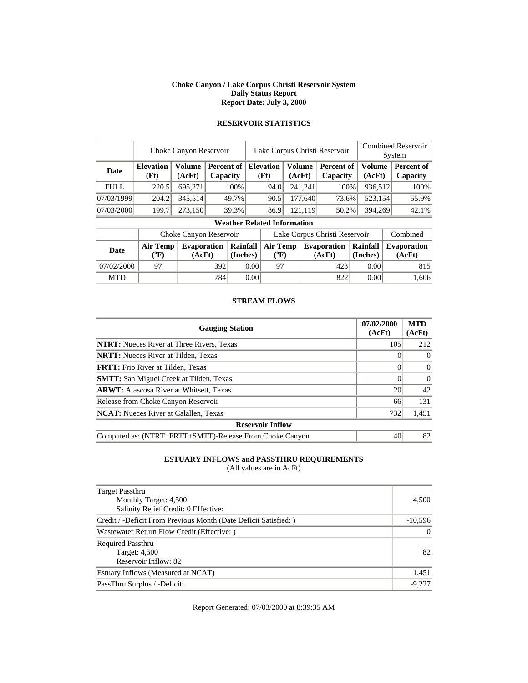#### **Choke Canyon / Lake Corpus Christi Reservoir System Daily Status Report Report Date: July 3, 2000**

|             | Choke Canyon Reservoir   |                              |     |                        |                               | Lake Corpus Christi Reservoir      |         |               |                              |  |                      | <b>Combined Reservoir</b><br>System |                              |  |
|-------------|--------------------------|------------------------------|-----|------------------------|-------------------------------|------------------------------------|---------|---------------|------------------------------|--|----------------------|-------------------------------------|------------------------------|--|
| <b>Date</b> | <b>Elevation</b><br>(Ft) | <b>Volume</b><br>(AcFt)      |     | Percent of<br>Capacity |                               | <b>Elevation</b><br>(Ft)           | (AcFt)  | <b>Volume</b> | Percent of<br>Capacity       |  | Volume<br>(AcFt)     |                                     | Percent of<br>Capacity       |  |
| <b>FULL</b> | 220.5                    | 695,271                      |     | 100%                   |                               | 94.0                               |         | 241,241       | 100%                         |  | 936,512              |                                     | 100%                         |  |
| 07/03/1999  | 204.2                    | 345,514                      |     | 49.7%                  |                               | 90.5                               |         | 177,640       | 73.6%                        |  | 523,154              |                                     | 55.9%                        |  |
| 07/03/2000  | 199.7                    | 273,150                      |     | 39.3%                  |                               | 86.9                               | 121,119 |               | 50.2%                        |  | 394,269              |                                     | 42.1%                        |  |
|             |                          |                              |     |                        |                               | <b>Weather Related Information</b> |         |               |                              |  |                      |                                     |                              |  |
|             |                          | Choke Canyon Reservoir       |     |                        | Lake Corpus Christi Reservoir |                                    |         |               |                              |  |                      |                                     | Combined                     |  |
| <b>Date</b> | Air Temp<br>$(^{0}F)$    | <b>Evaporation</b><br>(AcFt) |     | Rainfall<br>(Inches)   |                               | <b>Air Temp</b><br>$(^{0}F)$       |         |               | <b>Evaporation</b><br>(AcFt) |  | Rainfall<br>(Inches) |                                     | <b>Evaporation</b><br>(AcFt) |  |
| 07/02/2000  | 97                       |                              |     | 392<br>0.00            |                               | 97                                 |         |               | 423                          |  | 0.00                 |                                     | 815                          |  |
| <b>MTD</b>  |                          |                              | 784 |                        | 0.00                          |                                    |         |               | 822                          |  | 0.00                 |                                     | 1.606                        |  |

# **RESERVOIR STATISTICS**

#### **STREAM FLOWS**

| <b>Gauging Station</b>                                  | 07/02/2000<br>(AcFt) | <b>MTD</b><br>(AcFt) |
|---------------------------------------------------------|----------------------|----------------------|
| <b>NTRT:</b> Nueces River at Three Rivers, Texas        | 105                  | 212                  |
| <b>NRTT:</b> Nueces River at Tilden, Texas              |                      | $\Omega$             |
| <b>FRTT:</b> Frio River at Tilden, Texas                |                      | $\theta$             |
| <b>SMTT:</b> San Miguel Creek at Tilden, Texas          |                      | $\Omega$             |
| <b>ARWT:</b> Atascosa River at Whitsett, Texas          | 20                   | 42                   |
| Release from Choke Canyon Reservoir                     | 66                   | 131                  |
| <b>NCAT:</b> Nueces River at Calallen, Texas            | 732                  | 1,451                |
| <b>Reservoir Inflow</b>                                 |                      |                      |
| Computed as: (NTRT+FRTT+SMTT)-Release From Choke Canyon | 40                   | 82                   |

### **ESTUARY INFLOWS and PASSTHRU REQUIREMENTS**

(All values are in AcFt)

| Target Passthru<br>Monthly Target: 4,500<br>Salinity Relief Credit: 0 Effective: | 4,500     |
|----------------------------------------------------------------------------------|-----------|
| Credit / -Deficit From Previous Month (Date Deficit Satisfied: )                 | $-10,596$ |
| Wastewater Return Flow Credit (Effective: )                                      | $\Omega$  |
| <b>Required Passthru</b><br><b>Target: 4,500</b><br>Reservoir Inflow: 82         | 82        |
| Estuary Inflows (Measured at NCAT)                                               | 1,451     |
| PassThru Surplus / -Deficit:                                                     | $-9,227$  |

Report Generated: 07/03/2000 at 8:39:35 AM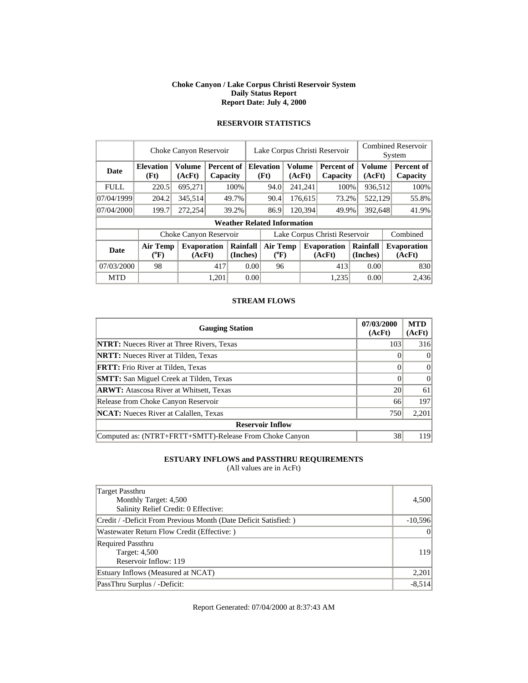#### **Choke Canyon / Lake Corpus Christi Reservoir System Daily Status Report Report Date: July 4, 2000**

|             | Choke Canyon Reservoir       |                              |       |                        |                               | Lake Corpus Christi Reservoir                |  |         |                              |                         |         | <b>Combined Reservoir</b>    |  |  |  |
|-------------|------------------------------|------------------------------|-------|------------------------|-------------------------------|----------------------------------------------|--|---------|------------------------------|-------------------------|---------|------------------------------|--|--|--|
|             |                              |                              |       |                        |                               |                                              |  |         |                              |                         | System  |                              |  |  |  |
| Date        | <b>Elevation</b><br>(Ft)     | <b>Volume</b><br>(AcFt)      |       | Percent of<br>Capacity |                               | Volume<br><b>Elevation</b><br>(Ft)<br>(AcFt) |  |         | Percent of<br>Capacity       | <b>Volume</b><br>(AcFt) |         | Percent of<br>Capacity       |  |  |  |
| <b>FULL</b> | 220.5                        | 695,271                      |       | 100%                   |                               | 94.0                                         |  | 241,241 | 100%                         |                         | 936,512 | 100%                         |  |  |  |
| 07/04/1999  | 204.2                        | 345,514                      |       | 49.7%                  |                               | 90.4<br>176,615                              |  |         | 73.2%                        |                         | 522,129 | 55.8%                        |  |  |  |
| 07/04/2000  | 199.7                        | 272,254                      |       | 39.2%                  |                               | 86.9                                         |  | 120,394 | 49.9%                        |                         | 392,648 | 41.9%                        |  |  |  |
|             |                              |                              |       |                        |                               | <b>Weather Related Information</b>           |  |         |                              |                         |         |                              |  |  |  |
|             |                              | Choke Canyon Reservoir       |       |                        | Lake Corpus Christi Reservoir |                                              |  |         |                              |                         |         | Combined                     |  |  |  |
| <b>Date</b> | <b>Air Temp</b><br>$(^{0}F)$ | <b>Evaporation</b><br>(AcFt) |       | Rainfall<br>(Inches)   |                               | Air Temp<br>$(^{0}F)$                        |  |         | <b>Evaporation</b><br>(AcFt) | Rainfall<br>(Inches)    |         | <b>Evaporation</b><br>(AcFt) |  |  |  |
| 07/03/2000  | 98                           |                              | 417   | 0.00                   |                               | 96                                           |  |         | 413                          | 0.00                    |         | 830                          |  |  |  |
| <b>MTD</b>  |                              |                              | 1,201 |                        | 0.00                          |                                              |  |         | 1,235                        | 0.00                    |         | 2.436                        |  |  |  |

### **RESERVOIR STATISTICS**

#### **STREAM FLOWS**

| <b>Gauging Station</b>                                  | 07/03/2000<br>(AcFt) | <b>MTD</b><br>(AcFt) |
|---------------------------------------------------------|----------------------|----------------------|
| <b>NTRT:</b> Nueces River at Three Rivers, Texas        | 103                  | 316                  |
| <b>NRTT:</b> Nueces River at Tilden, Texas              |                      | $\Omega$             |
| <b>FRTT:</b> Frio River at Tilden, Texas                |                      | $\theta$             |
| <b>SMTT:</b> San Miguel Creek at Tilden, Texas          |                      | $\Omega$             |
| <b>ARWT:</b> Atascosa River at Whitsett, Texas          | 20                   | 61                   |
| Release from Choke Canyon Reservoir                     | 66                   | 197                  |
| <b>NCAT:</b> Nueces River at Calallen, Texas            | 750                  | 2,201                |
| <b>Reservoir Inflow</b>                                 |                      |                      |
| Computed as: (NTRT+FRTT+SMTT)-Release From Choke Canyon | 38                   | 119                  |

### **ESTUARY INFLOWS and PASSTHRU REQUIREMENTS**

(All values are in AcFt)

| Target Passthru<br>Monthly Target: 4,500<br>Salinity Relief Credit: 0 Effective: | 4,500     |
|----------------------------------------------------------------------------------|-----------|
| Credit / -Deficit From Previous Month (Date Deficit Satisfied: )                 | $-10,596$ |
| Wastewater Return Flow Credit (Effective:)                                       | $\Omega$  |
| <b>Required Passthru</b><br><b>Target: 4,500</b><br>Reservoir Inflow: 119        | 119       |
| Estuary Inflows (Measured at NCAT)                                               | 2,201     |
| PassThru Surplus / -Deficit:                                                     | $-8,514$  |

Report Generated: 07/04/2000 at 8:37:43 AM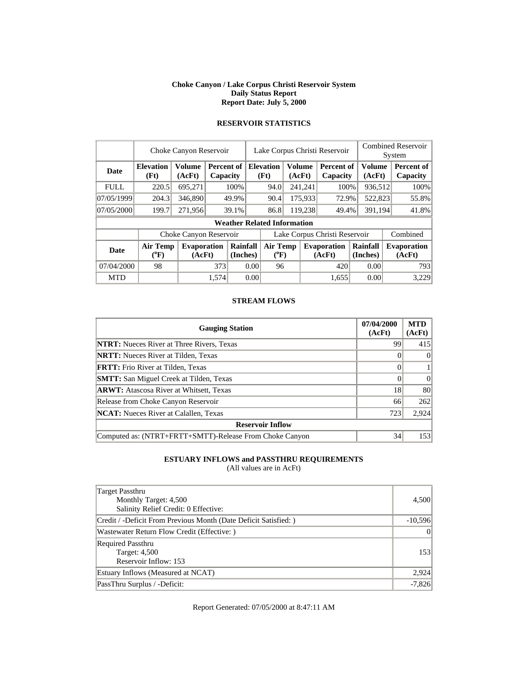#### **Choke Canyon / Lake Corpus Christi Reservoir System Daily Status Report Report Date: July 5, 2000**

|             | Choke Canyon Reservoir                |                              |       |                        |                               | Lake Corpus Christi Reservoir      |  |                  |                              |                      |  | <b>Combined Reservoir</b><br>System |
|-------------|---------------------------------------|------------------------------|-------|------------------------|-------------------------------|------------------------------------|--|------------------|------------------------------|----------------------|--|-------------------------------------|
| Date        | <b>Elevation</b><br>(Ft)              | <b>Volume</b><br>(AcFt)      |       | Percent of<br>Capacity |                               | <b>Elevation</b><br>(Ft)           |  | Volume<br>(AcFt) | Percent of<br>Capacity       | Volume<br>(AcFt)     |  | Percent of<br>Capacity              |
| <b>FULL</b> | 220.5                                 | 695,271                      |       | 100%                   |                               | 94.0                               |  | 241,241          | 100%                         | 936,512              |  | 100%                                |
| 07/05/1999  | 204.3                                 | 346,890                      |       | 49.9%                  |                               | 90.4                               |  | 175,933          | 72.9%                        | 522,823              |  | 55.8%                               |
| 07/05/2000  | 199.7                                 | 271,956                      |       | 39.1%                  |                               | 86.8                               |  | 119,238          | 49.4%                        | 391,194              |  | 41.8%                               |
|             |                                       |                              |       |                        |                               | <b>Weather Related Information</b> |  |                  |                              |                      |  |                                     |
|             |                                       | Choke Canyon Reservoir       |       |                        | Lake Corpus Christi Reservoir |                                    |  |                  |                              |                      |  | Combined                            |
| <b>Date</b> | <b>Air Temp</b><br>$({}^o\mathrm{F})$ | <b>Evaporation</b><br>(AcFt) |       | Rainfall<br>(Inches)   |                               | Air Temp<br>$(^{0}F)$              |  |                  | <b>Evaporation</b><br>(AcFt) | Rainfall<br>(Inches) |  | <b>Evaporation</b><br>(AcFt)        |
| 07/04/2000  | 98                                    |                              | 373   |                        | 0.00                          | 96                                 |  |                  | 420                          | 0.00                 |  | 793                                 |
| <b>MTD</b>  |                                       |                              | 1.574 |                        | 0.00                          |                                    |  |                  | 1.655                        | 0.00                 |  | 3,229                               |

# **RESERVOIR STATISTICS**

#### **STREAM FLOWS**

| <b>Gauging Station</b>                                  | 07/04/2000<br>(AcFt) | <b>MTD</b><br>(AcFt) |
|---------------------------------------------------------|----------------------|----------------------|
| <b>NTRT:</b> Nueces River at Three Rivers, Texas        | 99                   | 415                  |
| <b>NRTT:</b> Nueces River at Tilden, Texas              |                      | $\Omega$             |
| <b>FRTT:</b> Frio River at Tilden, Texas                |                      |                      |
| <b>SMTT:</b> San Miguel Creek at Tilden, Texas          |                      | $\Omega$             |
| <b>ARWT:</b> Atascosa River at Whitsett, Texas          | 18                   | 80                   |
| Release from Choke Canyon Reservoir                     | 66                   | 262                  |
| <b>NCAT:</b> Nueces River at Calallen, Texas            | 723                  | 2,924                |
| <b>Reservoir Inflow</b>                                 |                      |                      |
| Computed as: (NTRT+FRTT+SMTT)-Release From Choke Canyon | 34                   | 153                  |

### **ESTUARY INFLOWS and PASSTHRU REQUIREMENTS**

(All values are in AcFt)

| Target Passthru<br>Monthly Target: 4,500<br>Salinity Relief Credit: 0 Effective: | 4,500     |
|----------------------------------------------------------------------------------|-----------|
| Credit / -Deficit From Previous Month (Date Deficit Satisfied: )                 | $-10,596$ |
| Wastewater Return Flow Credit (Effective:)                                       | $\Omega$  |
| <b>Required Passthru</b><br><b>Target: 4,500</b><br>Reservoir Inflow: 153        | 153       |
| Estuary Inflows (Measured at NCAT)                                               | 2,924     |
| PassThru Surplus / -Deficit:                                                     | $-7,826$  |

Report Generated: 07/05/2000 at 8:47:11 AM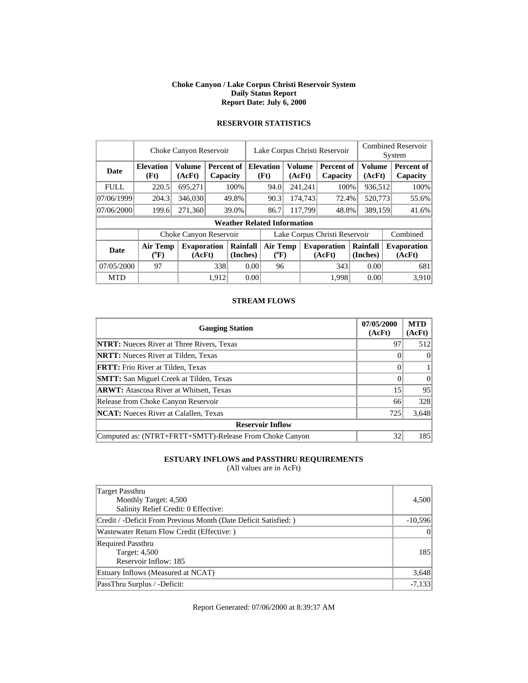#### **Choke Canyon / Lake Corpus Christi Reservoir System Daily Status Report Report Date: July 6, 2000**

|             | Choke Canyon Reservoir       |                              |                               |       |                               | Lake Corpus Christi Reservoir                       |                              |         |                               |                      |                  | <b>Combined Reservoir</b><br>System |                               |  |
|-------------|------------------------------|------------------------------|-------------------------------|-------|-------------------------------|-----------------------------------------------------|------------------------------|---------|-------------------------------|----------------------|------------------|-------------------------------------|-------------------------------|--|
| Date        | <b>Elevation</b><br>(Ft)     | <b>Volume</b><br>(AcFt)      | <b>Percent of</b><br>Capacity |       |                               | <b>Volume</b><br><b>Elevation</b><br>(Ft)<br>(AcFt) |                              |         | <b>Percent of</b><br>Capacity |                      | Volume<br>(AcFt) |                                     | <b>Percent of</b><br>Capacity |  |
| <b>FULL</b> | 220.5                        | 695,271                      |                               | 100%  |                               | 94.0                                                |                              | 241,241 | 100%                          |                      | 936,512          |                                     | 100%                          |  |
| 07/06/1999  | 204.3                        | 346,030                      |                               | 49.8% | 90.3                          |                                                     |                              | 174,743 | 72.4%                         |                      | 520,773          |                                     | 55.6%                         |  |
| 07/06/2000  | 199.6                        | 271,360                      |                               | 39.0% |                               | 86.7                                                | 117,799                      |         | 48.8%                         | 389,159              |                  |                                     | 41.6%                         |  |
|             |                              |                              |                               |       |                               | <b>Weather Related Information</b>                  |                              |         |                               |                      |                  |                                     |                               |  |
|             |                              | Choke Canyon Reservoir       |                               |       | Lake Corpus Christi Reservoir |                                                     |                              |         |                               |                      |                  |                                     | Combined                      |  |
| <b>Date</b> | <b>Air Temp</b><br>$(^{0}F)$ | <b>Evaporation</b><br>(AcFt) |                               |       | Rainfall<br>(Inches)          |                                                     | <b>Air Temp</b><br>$(^{0}F)$ |         | <b>Evaporation</b><br>(AcFt)  | Rainfall<br>(Inches) |                  |                                     | <b>Evaporation</b><br>(AcFt)  |  |
| 07/05/2000  | 97                           |                              | 338                           |       | 0.00                          | 96                                                  |                              |         | 343                           |                      | 0.00             |                                     | 681                           |  |
| <b>MTD</b>  |                              |                              | 1.912                         |       | 0.00                          |                                                     |                              |         | 1.998                         |                      | 0.00             |                                     | 3,910                         |  |

# **RESERVOIR STATISTICS**

#### **STREAM FLOWS**

| <b>Gauging Station</b>                                  | 07/05/2000<br>(AcFt) | <b>MTD</b><br>(AcFt) |
|---------------------------------------------------------|----------------------|----------------------|
| <b>NTRT:</b> Nueces River at Three Rivers, Texas        | 97                   | 512                  |
| <b>NRTT:</b> Nueces River at Tilden, Texas              |                      | $\Omega$             |
| <b>FRTT:</b> Frio River at Tilden, Texas                |                      |                      |
| <b>SMTT:</b> San Miguel Creek at Tilden, Texas          |                      | $\Omega$             |
| <b>ARWT:</b> Atascosa River at Whitsett, Texas          | 15                   | 95                   |
| Release from Choke Canyon Reservoir                     | 66                   | 328                  |
| <b>NCAT:</b> Nueces River at Calallen, Texas            | 725                  | 3,648                |
| <b>Reservoir Inflow</b>                                 |                      |                      |
| Computed as: (NTRT+FRTT+SMTT)-Release From Choke Canyon | 32                   | 185                  |

### **ESTUARY INFLOWS and PASSTHRU REQUIREMENTS**

(All values are in AcFt)

| Target Passthru<br>Monthly Target: 4,500<br>Salinity Relief Credit: 0 Effective: | 4,500     |
|----------------------------------------------------------------------------------|-----------|
| Credit / -Deficit From Previous Month (Date Deficit Satisfied: )                 | $-10,596$ |
| Wastewater Return Flow Credit (Effective:)                                       | $\Omega$  |
| <b>Required Passthru</b><br><b>Target: 4,500</b><br>Reservoir Inflow: 185        | 185       |
| Estuary Inflows (Measured at NCAT)                                               | 3,648     |
| PassThru Surplus / -Deficit:                                                     | $-7,133$  |

Report Generated: 07/06/2000 at 8:39:37 AM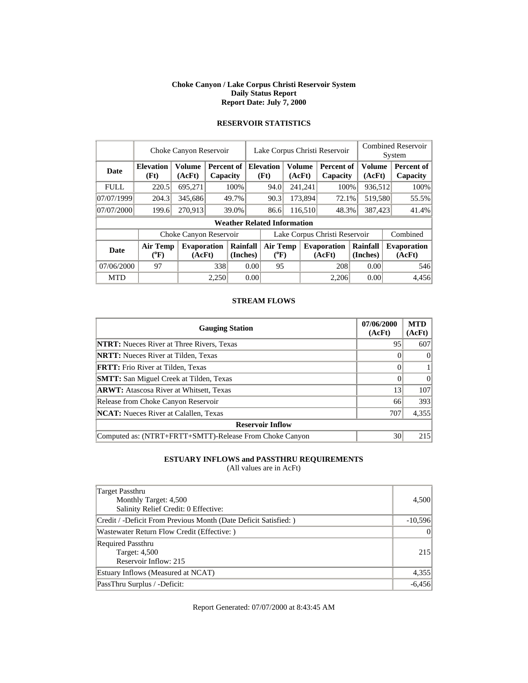#### **Choke Canyon / Lake Corpus Christi Reservoir System Daily Status Report Report Date: July 7, 2000**

|             | Choke Canyon Reservoir         |                              |                        |       |                               | Lake Corpus Christi Reservoir      |                         |         |                              |                      |                  | <b>Combined Reservoir</b> |                              |  |
|-------------|--------------------------------|------------------------------|------------------------|-------|-------------------------------|------------------------------------|-------------------------|---------|------------------------------|----------------------|------------------|---------------------------|------------------------------|--|
|             |                                |                              |                        |       |                               |                                    |                         |         |                              |                      |                  |                           | System                       |  |
| Date        | <b>Elevation</b><br>(Ft)       | <b>Volume</b><br>(AcFt)      | Percent of<br>Capacity |       | <b>Elevation</b><br>(Ft)      |                                    | <b>Volume</b><br>(AcFt) |         | Percent of<br>Capacity       |                      | Volume<br>(AcFt) |                           | Percent of<br>Capacity       |  |
| <b>FULL</b> | 220.5                          | 695,271                      |                        | 100%  |                               | 94.0                               |                         | 241,241 | 100%                         |                      | 936,512          |                           | 100%                         |  |
| 07/07/1999  | 204.3                          | 345,686                      |                        | 49.7% |                               | 90.3                               |                         | 173,894 | 72.1%                        |                      | 519,580          |                           | 55.5%                        |  |
| 07/07/2000  | 199.6                          | 270,913                      |                        | 39.0% | 86.6                          |                                    |                         | 116,510 | 48.3%                        |                      | 387,423          |                           | 41.4%                        |  |
|             |                                |                              |                        |       |                               | <b>Weather Related Information</b> |                         |         |                              |                      |                  |                           |                              |  |
|             |                                | Choke Canyon Reservoir       |                        |       | Lake Corpus Christi Reservoir |                                    |                         |         |                              |                      |                  |                           | Combined                     |  |
| <b>Date</b> | Air Temp<br>$({}^o\mathrm{F})$ | <b>Evaporation</b><br>(AcFt) |                        |       | Rainfall<br>(Inches)          |                                    | Air Temp<br>$(^{0}F)$   |         | <b>Evaporation</b><br>(AcFt) | Rainfall<br>(Inches) |                  |                           | <b>Evaporation</b><br>(AcFt) |  |
| 07/06/2000  | 97                             |                              | 338                    |       | 0.00                          | 95                                 |                         |         | 208                          |                      | 0.00             |                           | 546                          |  |
| <b>MTD</b>  |                                |                              | 2,250                  |       | 0.00                          |                                    |                         |         | 2.206                        |                      | 0.00             |                           | 4.456                        |  |

### **RESERVOIR STATISTICS**

#### **STREAM FLOWS**

| <b>Gauging Station</b>                                  | 07/06/2000<br>(AcFt) | <b>MTD</b><br>(AcFt) |
|---------------------------------------------------------|----------------------|----------------------|
| <b>NTRT:</b> Nueces River at Three Rivers, Texas        | 95                   | 607                  |
| <b>NRTT:</b> Nueces River at Tilden, Texas              |                      | $\Omega$             |
| <b>FRTT:</b> Frio River at Tilden, Texas                |                      |                      |
| <b>SMTT:</b> San Miguel Creek at Tilden, Texas          |                      | $\Omega$             |
| <b>ARWT:</b> Atascosa River at Whitsett, Texas          | 13                   | 107                  |
| Release from Choke Canyon Reservoir                     | 66                   | 393                  |
| <b>NCAT:</b> Nueces River at Calallen, Texas            | 707                  | 4,355                |
| <b>Reservoir Inflow</b>                                 |                      |                      |
| Computed as: (NTRT+FRTT+SMTT)-Release From Choke Canyon | 30                   | 215                  |

### **ESTUARY INFLOWS and PASSTHRU REQUIREMENTS**

(All values are in AcFt)

| Target Passthru<br>Monthly Target: 4,500<br>Salinity Relief Credit: 0 Effective: | 4,500     |
|----------------------------------------------------------------------------------|-----------|
| Credit / -Deficit From Previous Month (Date Deficit Satisfied: )                 | $-10,596$ |
| Wastewater Return Flow Credit (Effective:)                                       | $\Omega$  |
| <b>Required Passthru</b><br>Target: 4,500<br>Reservoir Inflow: 215               | 215       |
| Estuary Inflows (Measured at NCAT)                                               | 4,355     |
| PassThru Surplus / -Deficit:                                                     | $-6,456$  |

Report Generated: 07/07/2000 at 8:43:45 AM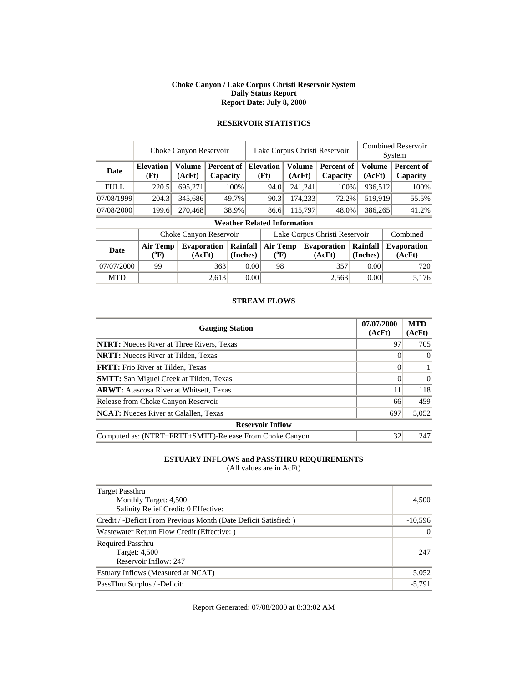#### **Choke Canyon / Lake Corpus Christi Reservoir System Daily Status Report Report Date: July 8, 2000**

|             | Choke Canyon Reservoir       |                              |                        |                      |                               | Lake Corpus Christi Reservoir      |        |         |                              |                      |         | <b>Combined Reservoir</b>    |  |  |  |
|-------------|------------------------------|------------------------------|------------------------|----------------------|-------------------------------|------------------------------------|--------|---------|------------------------------|----------------------|---------|------------------------------|--|--|--|
|             |                              |                              |                        |                      |                               |                                    |        |         |                              |                      | System  |                              |  |  |  |
| Date        | <b>Elevation</b><br>(Ft)     | <b>Volume</b><br>(AcFt)      | Percent of<br>Capacity |                      |                               | <b>Elevation</b><br>(Ft)           | (AcFt) | Volume  | Percent of<br>Capacity       | <b>Volume</b>        | (AcFt)  | Percent of<br>Capacity       |  |  |  |
| <b>FULL</b> | 220.5                        | 695,271                      |                        | 100%                 |                               | 94.0                               |        | 241,241 | 100%                         |                      | 936,512 | 100%                         |  |  |  |
| 07/08/1999  | 204.3                        | 345,686                      |                        | 49.7%                |                               | 174,233<br>90.3                    |        | 72.2%   |                              | 519,919              | 55.5%   |                              |  |  |  |
| 07/08/2000  | 199.6                        | 270,468                      |                        | 38.9%                |                               | 86.6                               |        | 115,797 | 48.0%                        |                      | 386,265 | 41.2%                        |  |  |  |
|             |                              |                              |                        |                      |                               | <b>Weather Related Information</b> |        |         |                              |                      |         |                              |  |  |  |
|             |                              | Choke Canyon Reservoir       |                        |                      | Lake Corpus Christi Reservoir |                                    |        |         |                              |                      |         | Combined                     |  |  |  |
| <b>Date</b> | <b>Air Temp</b><br>$(^{0}F)$ | <b>Evaporation</b><br>(AcFt) |                        | Rainfall<br>(Inches) |                               | Air Temp<br>$(^{0}F)$              |        |         | <b>Evaporation</b><br>(AcFt) | Rainfall<br>(Inches) |         | <b>Evaporation</b><br>(AcFt) |  |  |  |
| 07/07/2000  | 99                           |                              | 363                    |                      | 0.00                          | 98                                 |        |         | 357                          | 0.00                 |         | 720                          |  |  |  |
| <b>MTD</b>  |                              |                              | 2,613                  |                      | 0.00                          |                                    |        |         | 2,563                        | 0.00                 |         | 5,176                        |  |  |  |

### **RESERVOIR STATISTICS**

#### **STREAM FLOWS**

| <b>Gauging Station</b>                                  | 07/07/2000<br>(AcFt) | <b>MTD</b><br>(AcFt) |
|---------------------------------------------------------|----------------------|----------------------|
| <b>NTRT:</b> Nueces River at Three Rivers, Texas        | 97                   | 705                  |
| <b>NRTT:</b> Nueces River at Tilden, Texas              |                      | $\Omega$             |
| <b>FRTT:</b> Frio River at Tilden, Texas                |                      |                      |
| <b>SMTT:</b> San Miguel Creek at Tilden, Texas          |                      | $\Omega$             |
| <b>ARWT:</b> Atascosa River at Whitsett, Texas          | 11                   | 118                  |
| Release from Choke Canyon Reservoir                     | 66                   | 459                  |
| <b>NCAT:</b> Nueces River at Calallen, Texas            | 697                  | 5,052                |
| <b>Reservoir Inflow</b>                                 |                      |                      |
| Computed as: (NTRT+FRTT+SMTT)-Release From Choke Canyon | 32                   | 247                  |

### **ESTUARY INFLOWS and PASSTHRU REQUIREMENTS**

(All values are in AcFt)

| <b>Target Passthru</b><br>Monthly Target: 4,500<br>Salinity Relief Credit: 0 Effective: | 4,500     |
|-----------------------------------------------------------------------------------------|-----------|
| Credit / -Deficit From Previous Month (Date Deficit Satisfied: )                        | $-10,596$ |
| Wastewater Return Flow Credit (Effective:)                                              | $\Omega$  |
| <b>Required Passthru</b><br>Target: 4,500<br>Reservoir Inflow: 247                      | 247       |
| Estuary Inflows (Measured at NCAT)                                                      | 5,052     |
| PassThru Surplus / -Deficit:                                                            | $-5,791$  |

Report Generated: 07/08/2000 at 8:33:02 AM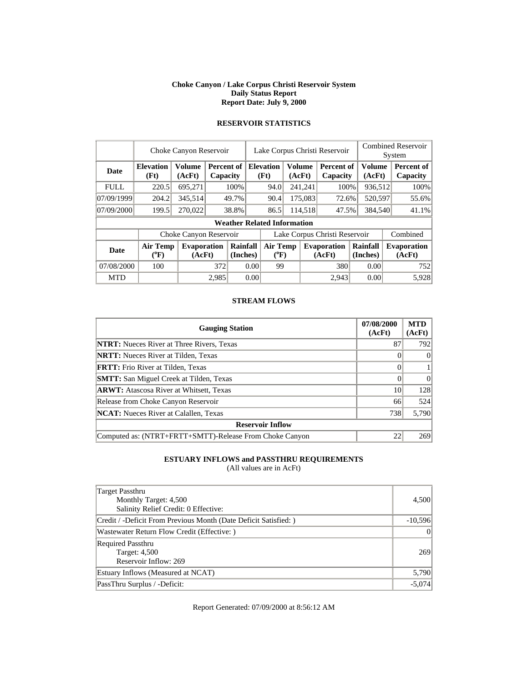#### **Choke Canyon / Lake Corpus Christi Reservoir System Daily Status Report Report Date: July 9, 2000**

|             | Choke Canyon Reservoir   |                              |       |                        |                               | Lake Corpus Christi Reservoir                       |    |         |                               |                      |  | <b>Combined Reservoir</b><br>System |
|-------------|--------------------------|------------------------------|-------|------------------------|-------------------------------|-----------------------------------------------------|----|---------|-------------------------------|----------------------|--|-------------------------------------|
| Date        | <b>Elevation</b><br>(Ft) | <b>Volume</b><br>(AcFt)      |       | Percent of<br>Capacity |                               | <b>Volume</b><br><b>Elevation</b><br>(Ft)<br>(AcFt) |    |         | <b>Percent of</b><br>Capacity | Volume<br>(AcFt)     |  | Percent of<br>Capacity              |
| <b>FULL</b> | 220.5                    | 695,271                      |       | 100%                   |                               | 94.0                                                |    | 241,241 | 100%                          | 936,512              |  | 100%                                |
| 07/09/1999  | 204.2                    | 345,514                      |       | 49.7%                  |                               | 90.4                                                |    | 175,083 | 72.6%                         | 520,597              |  | 55.6%                               |
| 07/09/2000  | 199.5                    | 270,022                      |       | 38.8%                  |                               | 86.5                                                |    | 114,518 | 47.5%                         | 384,540              |  | 41.1%                               |
|             |                          |                              |       |                        |                               | <b>Weather Related Information</b>                  |    |         |                               |                      |  |                                     |
|             |                          | Choke Canyon Reservoir       |       |                        | Lake Corpus Christi Reservoir |                                                     |    |         |                               |                      |  | Combined                            |
| <b>Date</b> | <b>Air Temp</b><br>(°F)  | <b>Evaporation</b><br>(AcFt) |       | Rainfall<br>(Inches)   |                               | <b>Air Temp</b><br>$(^{0}F)$                        |    |         | <b>Evaporation</b><br>(AcFt)  | Rainfall<br>(Inches) |  | <b>Evaporation</b><br>(AcFt)        |
| 07/08/2000  | 100                      |                              |       | 372<br>0.00            |                               |                                                     | 99 |         | 380                           | 0.00                 |  | 752                                 |
| <b>MTD</b>  |                          |                              | 2,985 |                        | 0.00                          |                                                     |    |         | 2.943                         | 0.00                 |  | 5,928                               |

# **RESERVOIR STATISTICS**

#### **STREAM FLOWS**

| <b>Gauging Station</b>                                  | 07/08/2000<br>(AcFt) | <b>MTD</b><br>(AcFt) |
|---------------------------------------------------------|----------------------|----------------------|
| <b>NTRT:</b> Nueces River at Three Rivers, Texas        | 87                   | 792                  |
| <b>NRTT:</b> Nueces River at Tilden, Texas              |                      | $\Omega$             |
| <b>FRTT:</b> Frio River at Tilden, Texas                |                      |                      |
| <b>SMTT:</b> San Miguel Creek at Tilden, Texas          |                      | $\Omega$             |
| <b>ARWT:</b> Atascosa River at Whitsett, Texas          | 10                   | 128                  |
| Release from Choke Canyon Reservoir                     | 66                   | 524                  |
| <b>NCAT:</b> Nueces River at Calallen, Texas            | 738                  | 5,790                |
| <b>Reservoir Inflow</b>                                 |                      |                      |
| Computed as: (NTRT+FRTT+SMTT)-Release From Choke Canyon | 22                   | 269                  |

### **ESTUARY INFLOWS and PASSTHRU REQUIREMENTS**

(All values are in AcFt)

| Target Passthru<br>Monthly Target: 4,500<br>Salinity Relief Credit: 0 Effective: | 4,500     |
|----------------------------------------------------------------------------------|-----------|
| Credit / -Deficit From Previous Month (Date Deficit Satisfied: )                 | $-10,596$ |
| Wastewater Return Flow Credit (Effective:)                                       | $\Omega$  |
| <b>Required Passthru</b><br><b>Target: 4,500</b><br>Reservoir Inflow: 269        | 269       |
| Estuary Inflows (Measured at NCAT)                                               | 5,790     |
| PassThru Surplus / -Deficit:                                                     | $-5.074$  |

Report Generated: 07/09/2000 at 8:56:12 AM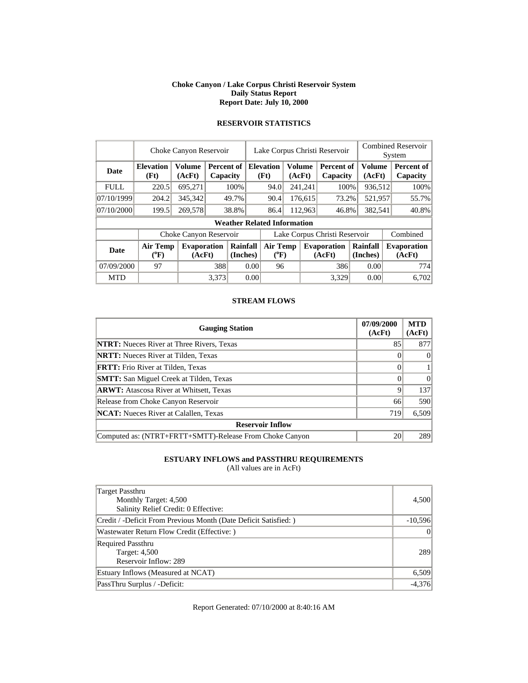#### **Choke Canyon / Lake Corpus Christi Reservoir System Daily Status Report Report Date: July 10, 2000**

|             | Choke Canyon Reservoir                |                              |       |                        |                               | Lake Corpus Christi Reservoir                |    |         |                              |                      |  | <b>Combined Reservoir</b><br>System |
|-------------|---------------------------------------|------------------------------|-------|------------------------|-------------------------------|----------------------------------------------|----|---------|------------------------------|----------------------|--|-------------------------------------|
| Date        | <b>Elevation</b><br>(Ft)              | <b>Volume</b><br>(AcFt)      |       | Percent of<br>Capacity |                               | Volume<br><b>Elevation</b><br>(Ft)<br>(AcFt) |    |         | Percent of<br>Capacity       | Volume<br>(AcFt)     |  | Percent of<br>Capacity              |
| <b>FULL</b> | 220.5                                 | 695,271                      |       | 100%                   |                               | 94.0                                         |    | 241,241 | 100%                         | 936,512              |  | 100%                                |
| 07/10/1999  | 204.2                                 | 345,342                      |       | 49.7%                  |                               | 90.4<br>176,615                              |    |         | 73.2%                        | 521,957              |  | 55.7%                               |
| 07/10/2000  | 199.5                                 | 269,578                      |       | 38.8%                  |                               | 86.4                                         |    | 112,963 | 46.8%                        | 382,541              |  | 40.8%                               |
|             |                                       |                              |       |                        |                               | <b>Weather Related Information</b>           |    |         |                              |                      |  |                                     |
|             |                                       | Choke Canyon Reservoir       |       |                        | Lake Corpus Christi Reservoir |                                              |    |         |                              |                      |  | Combined                            |
| <b>Date</b> | <b>Air Temp</b><br>$({}^o\mathrm{F})$ | <b>Evaporation</b><br>(AcFt) |       | Rainfall<br>(Inches)   |                               | Air Temp<br>$(^{0}F)$                        |    |         | <b>Evaporation</b><br>(AcFt) | Rainfall<br>(Inches) |  | <b>Evaporation</b><br>(AcFt)        |
| 07/09/2000  | 97                                    |                              |       | 388<br>0.00            |                               |                                              | 96 |         | 386                          | 0.00                 |  | 774                                 |
| <b>MTD</b>  |                                       |                              | 3.373 |                        | 0.00                          |                                              |    |         | 3.329                        | 0.00                 |  | 6.702                               |

# **RESERVOIR STATISTICS**

#### **STREAM FLOWS**

| <b>Gauging Station</b>                                  | 07/09/2000<br>(AcFt) | <b>MTD</b><br>(AcFt) |
|---------------------------------------------------------|----------------------|----------------------|
| <b>NTRT:</b> Nueces River at Three Rivers, Texas        | 85                   | 877                  |
| <b>NRTT:</b> Nueces River at Tilden, Texas              |                      | $\Omega$             |
| <b>FRTT:</b> Frio River at Tilden, Texas                |                      |                      |
| <b>SMTT:</b> San Miguel Creek at Tilden, Texas          |                      | $\Omega$             |
| <b>ARWT:</b> Atascosa River at Whitsett, Texas          | Q                    | 137                  |
| Release from Choke Canyon Reservoir                     | 66                   | 590                  |
| <b>NCAT:</b> Nueces River at Calallen, Texas            | 719                  | 6,509                |
| <b>Reservoir Inflow</b>                                 |                      |                      |
| Computed as: (NTRT+FRTT+SMTT)-Release From Choke Canyon | 20                   | 289                  |

### **ESTUARY INFLOWS and PASSTHRU REQUIREMENTS**

(All values are in AcFt)

| Target Passthru<br>Monthly Target: 4,500<br>Salinity Relief Credit: 0 Effective: | 4,500     |
|----------------------------------------------------------------------------------|-----------|
| Credit / -Deficit From Previous Month (Date Deficit Satisfied: )                 | $-10,596$ |
| Wastewater Return Flow Credit (Effective:)                                       | $\Omega$  |
| <b>Required Passthru</b><br><b>Target: 4,500</b><br>Reservoir Inflow: 289        | 289       |
| Estuary Inflows (Measured at NCAT)                                               | 6,509     |
| PassThru Surplus / -Deficit:                                                     | $-4,376$  |

Report Generated: 07/10/2000 at 8:40:16 AM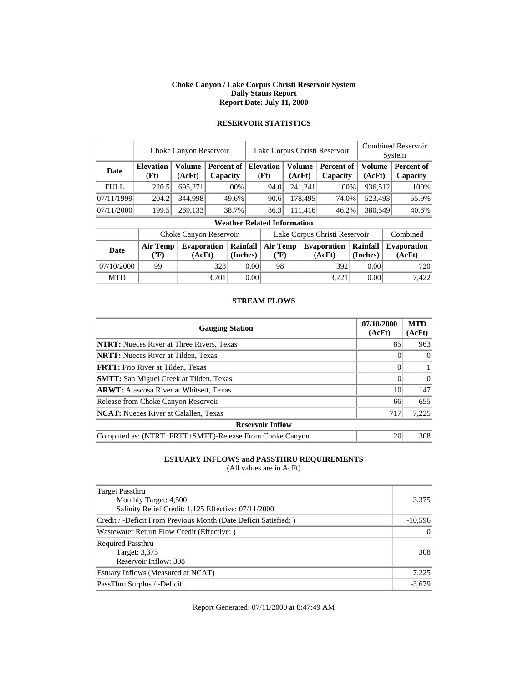#### **Choke Canyon / Lake Corpus Christi Reservoir System Daily Status Report Report Date: July 11, 2000**

|             | Choke Canyon Reservoir   |                              |       |                        |                               | Lake Corpus Christi Reservoir                       |  |                 |                              |                      |  | <b>Combined Reservoir</b><br>System |  |  |
|-------------|--------------------------|------------------------------|-------|------------------------|-------------------------------|-----------------------------------------------------|--|-----------------|------------------------------|----------------------|--|-------------------------------------|--|--|
| <b>Date</b> | <b>Elevation</b><br>(Ft) | <b>Volume</b><br>(AcFt)      |       | Percent of<br>Capacity |                               | <b>Volume</b><br><b>Elevation</b><br>(Ft)<br>(AcFt) |  |                 | Percent of<br>Capacity       | Volume<br>(AcFt)     |  | Percent of<br>Capacity              |  |  |
| <b>FULL</b> | 220.5                    | 695,271                      |       | 100%                   |                               | 94.0                                                |  | 241,241<br>100% |                              | 936,512              |  | 100%                                |  |  |
| 07/11/1999  | 204.2                    | 344,998                      |       | 49.6%                  |                               | 178,495<br>90.6                                     |  |                 | 74.0%                        | 523,493              |  | 55.9%                               |  |  |
| 07/11/2000  | 199.5                    | 269,133                      |       | 38.7%                  |                               | 86.3                                                |  | 111.416         | 46.2%                        | 380,549              |  | 40.6%                               |  |  |
|             |                          |                              |       |                        |                               | <b>Weather Related Information</b>                  |  |                 |                              |                      |  |                                     |  |  |
|             |                          | Choke Canyon Reservoir       |       |                        | Lake Corpus Christi Reservoir |                                                     |  |                 |                              |                      |  | Combined                            |  |  |
| <b>Date</b> | <b>Air Temp</b><br>(°F)  | <b>Evaporation</b><br>(AcFt) |       | Rainfall<br>(Inches)   |                               | <b>Air Temp</b><br>$(^{0}F)$                        |  |                 | <b>Evaporation</b><br>(AcFt) | Rainfall<br>(Inches) |  | <b>Evaporation</b><br>(AcFt)        |  |  |
| 07/10/2000  | 99                       |                              |       | 328<br>0.00            |                               | 98                                                  |  |                 | 392                          | 0.00                 |  | 720                                 |  |  |
| <b>MTD</b>  |                          |                              | 3.701 |                        | 0.00                          |                                                     |  |                 | 3.721                        | 0.00                 |  | 7.422                               |  |  |

# **RESERVOIR STATISTICS**

#### **STREAM FLOWS**

| <b>Gauging Station</b>                                  | 07/10/2000<br>(AcFt) | <b>MTD</b><br>(AcFt) |
|---------------------------------------------------------|----------------------|----------------------|
| <b>NTRT:</b> Nueces River at Three Rivers, Texas        | 85                   | 963                  |
| <b>NRTT:</b> Nueces River at Tilden, Texas              |                      | $\Omega$             |
| <b>FRTT:</b> Frio River at Tilden, Texas                |                      |                      |
| <b>SMTT:</b> San Miguel Creek at Tilden, Texas          |                      | $\Omega$             |
| <b>ARWT:</b> Atascosa River at Whitsett, Texas          | 10                   | 147                  |
| Release from Choke Canyon Reservoir                     | 66                   | 655                  |
| <b>NCAT:</b> Nueces River at Calallen, Texas            | 717                  | 7,225                |
| <b>Reservoir Inflow</b>                                 |                      |                      |
| Computed as: (NTRT+FRTT+SMTT)-Release From Choke Canyon | 20                   | 308                  |

### **ESTUARY INFLOWS and PASSTHRU REQUIREMENTS**

(All values are in AcFt)

| <b>Target Passthru</b>                                          |           |
|-----------------------------------------------------------------|-----------|
| Monthly Target: 4,500                                           | 3,375     |
| Salinity Relief Credit: 1,125 Effective: 07/11/2000             |           |
| Credit / -Deficit From Previous Month (Date Deficit Satisfied:) | $-10,596$ |
| Wastewater Return Flow Credit (Effective:)                      | $\Omega$  |
| <b>Required Passthru</b>                                        |           |
| Target: 3,375                                                   | 308       |
| Reservoir Inflow: 308                                           |           |
| Estuary Inflows (Measured at NCAT)                              | 7,225     |
| PassThru Surplus / -Deficit:                                    | $-3,679$  |

Report Generated: 07/11/2000 at 8:47:49 AM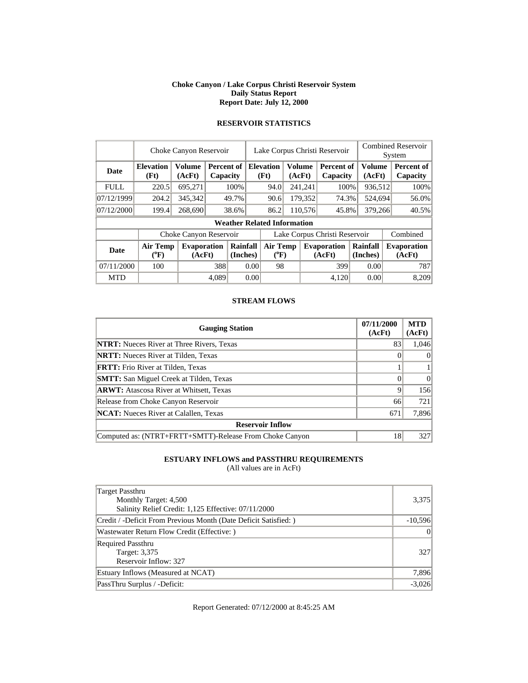#### **Choke Canyon / Lake Corpus Christi Reservoir System Daily Status Report Report Date: July 12, 2000**

|             | Choke Canyon Reservoir                |                              |       |                        |                               | Lake Corpus Christi Reservoir                       |         |         |                              |                      |                  | <b>Combined Reservoir</b><br>System |                              |  |
|-------------|---------------------------------------|------------------------------|-------|------------------------|-------------------------------|-----------------------------------------------------|---------|---------|------------------------------|----------------------|------------------|-------------------------------------|------------------------------|--|
| <b>Date</b> | <b>Elevation</b><br>(Ft)              | <b>Volume</b><br>(AcFt)      |       | Percent of<br>Capacity |                               | <b>Volume</b><br><b>Elevation</b><br>(Ft)<br>(AcFt) |         |         | Percent of<br>Capacity       |                      | Volume<br>(AcFt) |                                     | Percent of<br>Capacity       |  |
| <b>FULL</b> | 220.5                                 | 695,271                      |       | 100%                   |                               | 94.0                                                | 241,241 |         | 100%                         |                      | 936,512          |                                     | 100%                         |  |
| 07/12/1999  | 204.2                                 | 345,342                      |       | 49.7%                  |                               | 90.6                                                | 179,352 |         | 74.3%                        |                      | 524,694          |                                     | 56.0%                        |  |
| 07/12/2000  | 199.4                                 | 268,690                      |       | 38.6%                  |                               | 86.2                                                |         | 110.576 | 45.8%                        | 379,266              |                  |                                     | 40.5%                        |  |
|             |                                       |                              |       |                        |                               | <b>Weather Related Information</b>                  |         |         |                              |                      |                  |                                     |                              |  |
|             |                                       | Choke Canyon Reservoir       |       |                        | Lake Corpus Christi Reservoir |                                                     |         |         |                              |                      |                  |                                     | Combined                     |  |
| <b>Date</b> | <b>Air Temp</b><br>$(^{0}\mathrm{F})$ | <b>Evaporation</b><br>(AcFt) |       | Rainfall<br>(Inches)   |                               | <b>Air Temp</b><br>$(^{0}F)$                        |         |         | <b>Evaporation</b><br>(AcFt) | Rainfall<br>(Inches) |                  |                                     | <b>Evaporation</b><br>(AcFt) |  |
| 07/11/2000  | 100                                   |                              |       | 388<br>0.00            |                               | 98                                                  |         |         | 399                          |                      | 0.00             |                                     | 787                          |  |
| <b>MTD</b>  |                                       |                              | 4.089 |                        | 0.00                          |                                                     |         |         | 4.120                        |                      | 0.00             |                                     | 8,209                        |  |

# **RESERVOIR STATISTICS**

#### **STREAM FLOWS**

| <b>Gauging Station</b>                                  | 07/11/2000<br>(AcFt) | <b>MTD</b><br>(AcFt) |
|---------------------------------------------------------|----------------------|----------------------|
| <b>NTRT:</b> Nueces River at Three Rivers, Texas        | 83                   | 1,046                |
| <b>NRTT:</b> Nueces River at Tilden, Texas              |                      | $\theta$             |
| <b>FRTT:</b> Frio River at Tilden, Texas                |                      |                      |
| <b>SMTT:</b> San Miguel Creek at Tilden, Texas          |                      | $\Omega$             |
| <b>ARWT:</b> Atascosa River at Whitsett, Texas          | 9                    | 156                  |
| Release from Choke Canyon Reservoir                     | 66                   | 721                  |
| <b>NCAT:</b> Nueces River at Calallen, Texas            | 671                  | 7,896                |
| <b>Reservoir Inflow</b>                                 |                      |                      |
| Computed as: (NTRT+FRTT+SMTT)-Release From Choke Canyon | 18                   | 327                  |

### **ESTUARY INFLOWS and PASSTHRU REQUIREMENTS**

(All values are in AcFt)

| Target Passthru                                                  |           |
|------------------------------------------------------------------|-----------|
| Monthly Target: 4,500                                            | 3,375     |
| Salinity Relief Credit: 1,125 Effective: 07/11/2000              |           |
| Credit / -Deficit From Previous Month (Date Deficit Satisfied: ) | $-10,596$ |
| Wastewater Return Flow Credit (Effective:)                       | $\Omega$  |
| <b>Required Passthru</b>                                         |           |
| Target: 3,375                                                    | 327       |
| Reservoir Inflow: 327                                            |           |
| Estuary Inflows (Measured at NCAT)                               | 7,896     |
| PassThru Surplus / -Deficit:                                     | $-3,026$  |

Report Generated: 07/12/2000 at 8:45:25 AM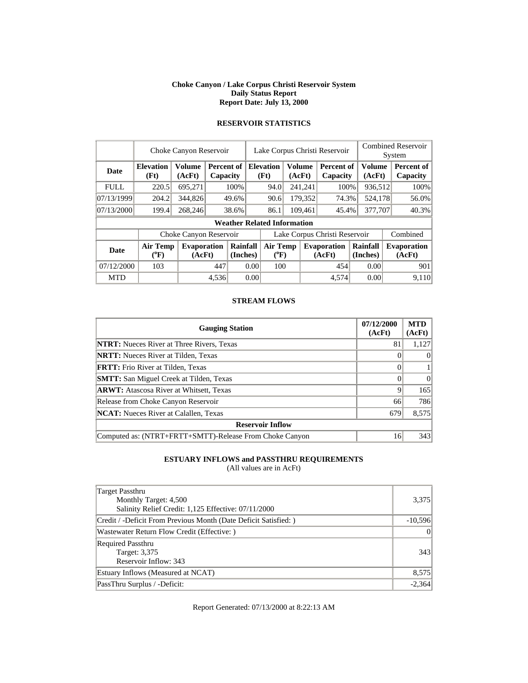#### **Choke Canyon / Lake Corpus Christi Reservoir System Daily Status Report Report Date: July 13, 2000**

|             | Choke Canyon Reservoir       |                              |       |                        |                                                              | Lake Corpus Christi Reservoir      |  |                         |                               |         |                              | <b>Combined Reservoir</b><br>System |                        |  |
|-------------|------------------------------|------------------------------|-------|------------------------|--------------------------------------------------------------|------------------------------------|--|-------------------------|-------------------------------|---------|------------------------------|-------------------------------------|------------------------|--|
| <b>Date</b> | <b>Elevation</b><br>(Ft)     | <b>Volume</b><br>(AcFt)      |       | Percent of<br>Capacity |                                                              | <b>Elevation</b><br>(Ft)           |  | <b>Volume</b><br>(AcFt) | <b>Percent of</b><br>Capacity |         | <b>Volume</b><br>(AcFt)      |                                     | Percent of<br>Capacity |  |
| <b>FULL</b> | 220.5                        | 695,271                      |       | 100%                   |                                                              | 94.0                               |  | 241,241                 | 100%                          |         | 936,512                      |                                     | 100%                   |  |
| 07/13/1999  | 204.2                        | 344,826                      |       | 49.6%                  |                                                              | 90.6                               |  | 179,352                 | 74.3%                         |         | 524,178                      |                                     | 56.0%                  |  |
| 07/13/2000  | 199.4                        | 268,246                      |       | 38.6%                  |                                                              | 86.1                               |  | 109,461<br>45.4%        |                               | 377,707 |                              |                                     | 40.3%                  |  |
|             |                              |                              |       |                        |                                                              | <b>Weather Related Information</b> |  |                         |                               |         |                              |                                     |                        |  |
|             |                              | Choke Canyon Reservoir       |       |                        | Lake Corpus Christi Reservoir                                |                                    |  |                         |                               |         |                              |                                     | Combined               |  |
| <b>Date</b> | <b>Air Temp</b><br>$(^{0}F)$ | <b>Evaporation</b><br>(AcFt) |       | Rainfall<br>(Inches)   | <b>Air Temp</b><br><b>Evaporation</b><br>$(^{0}F)$<br>(AcFt) |                                    |  | Rainfall                | (Inches)                      |         | <b>Evaporation</b><br>(AcFt) |                                     |                        |  |
| 07/12/2000  | 103                          |                              | 447   |                        | 0.00                                                         | 100                                |  |                         | 454                           |         | 0.00                         |                                     | 901                    |  |
| <b>MTD</b>  |                              |                              | 4.536 |                        | 0.00                                                         |                                    |  |                         | 4,574                         |         | 0.00                         |                                     | 9.110                  |  |

### **RESERVOIR STATISTICS**

#### **STREAM FLOWS**

| <b>Gauging Station</b>                                  | 07/12/2000<br>(AcFt) | <b>MTD</b><br>(AcFt) |
|---------------------------------------------------------|----------------------|----------------------|
| <b>NTRT:</b> Nueces River at Three Rivers, Texas        | 81                   | 1,127                |
| <b>NRTT:</b> Nueces River at Tilden, Texas              |                      | $\theta$             |
| <b>FRTT:</b> Frio River at Tilden, Texas                |                      |                      |
| <b>SMTT:</b> San Miguel Creek at Tilden, Texas          |                      | $\Omega$             |
| <b>ARWT:</b> Atascosa River at Whitsett, Texas          | 9                    | 165                  |
| Release from Choke Canyon Reservoir                     | 66                   | 786                  |
| <b>NCAT:</b> Nueces River at Calallen, Texas            | 679                  | 8,575                |
| <b>Reservoir Inflow</b>                                 |                      |                      |
| Computed as: (NTRT+FRTT+SMTT)-Release From Choke Canyon | 16                   | 343                  |

### **ESTUARY INFLOWS and PASSTHRU REQUIREMENTS**

(All values are in AcFt)

| <b>Target Passthru</b>                                           |           |
|------------------------------------------------------------------|-----------|
| Monthly Target: 4,500                                            | 3,375     |
| Salinity Relief Credit: 1,125 Effective: 07/11/2000              |           |
| Credit / -Deficit From Previous Month (Date Deficit Satisfied: ) | $-10,596$ |
| Wastewater Return Flow Credit (Effective:)                       | $\Omega$  |
| <b>Required Passthru</b>                                         |           |
| Target: 3,375                                                    | 343       |
| Reservoir Inflow: 343                                            |           |
| Estuary Inflows (Measured at NCAT)                               | 8,575     |
| PassThru Surplus / -Deficit:                                     | $-2,364$  |

Report Generated: 07/13/2000 at 8:22:13 AM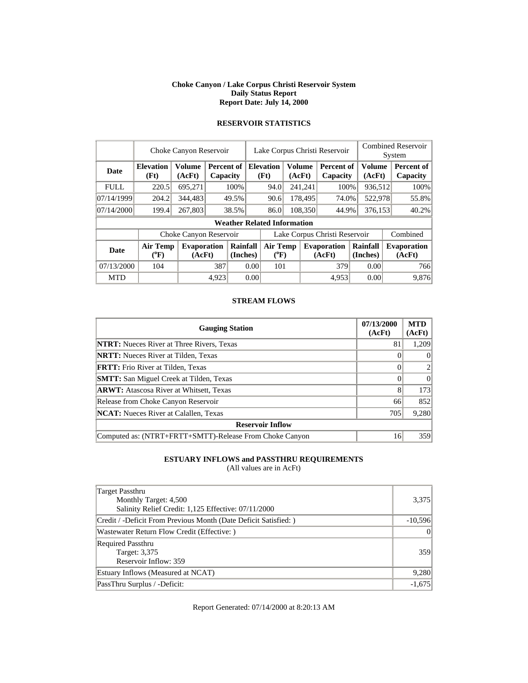#### **Choke Canyon / Lake Corpus Christi Reservoir System Daily Status Report Report Date: July 14, 2000**

|             | Choke Canyon Reservoir       | Lake Corpus Christi Reservoir |       |                        |                                                              |                                    |                      | <b>Combined Reservoir</b><br>System |                               |         |                         |                        |
|-------------|------------------------------|-------------------------------|-------|------------------------|--------------------------------------------------------------|------------------------------------|----------------------|-------------------------------------|-------------------------------|---------|-------------------------|------------------------|
| <b>Date</b> | <b>Elevation</b><br>(Ft)     | <b>Volume</b><br>(AcFt)       |       | Percent of<br>Capacity |                                                              | <b>Elevation</b><br>(Ft)           |                      | Volume<br>(AcFt)                    | <b>Percent of</b><br>Capacity |         | <b>Volume</b><br>(AcFt) | Percent of<br>Capacity |
| <b>FULL</b> | 220.5                        | 695,271                       |       | 100%                   |                                                              | 94.0                               |                      | 241,241                             | 100%                          |         | 936,512                 | 100%                   |
| 07/14/1999  | 204.2                        | 344,483                       |       | 49.5%                  |                                                              | 90.6                               |                      | 178,495                             | 74.0%                         |         | 522,978                 | 55.8%                  |
| 07/14/2000  | 199.4                        | 267,803                       |       | 38.5%                  |                                                              | 86.0                               |                      | 108,350<br>44.9%                    |                               | 376,153 |                         | 40.2%                  |
|             |                              |                               |       |                        |                                                              | <b>Weather Related Information</b> |                      |                                     |                               |         |                         |                        |
|             |                              | Choke Canyon Reservoir        |       |                        | Lake Corpus Christi Reservoir                                |                                    |                      |                                     |                               |         |                         | Combined               |
| <b>Date</b> | <b>Air Temp</b><br>$(^{0}F)$ | <b>Evaporation</b><br>(AcFt)  |       | Rainfall<br>(Inches)   | <b>Air Temp</b><br><b>Evaporation</b><br>$(^{0}F)$<br>(AcFt) |                                    | Rainfall<br>(Inches) |                                     | <b>Evaporation</b><br>(AcFt)  |         |                         |                        |
| 07/13/2000  | 104                          |                               | 387   | 0.00                   |                                                              | 101                                |                      |                                     | 379                           |         | 0.00                    | 766                    |
| <b>MTD</b>  |                              |                               | 4.923 |                        | 0.00                                                         |                                    |                      |                                     | 4.953                         |         | 0.00                    | 9.876                  |

# **RESERVOIR STATISTICS**

#### **STREAM FLOWS**

| <b>Gauging Station</b>                                  | 07/13/2000<br>(AcFt) | <b>MTD</b><br>(AcFt) |
|---------------------------------------------------------|----------------------|----------------------|
| <b>NTRT:</b> Nueces River at Three Rivers, Texas        | 81                   | 1,209                |
| <b>NRTT:</b> Nueces River at Tilden, Texas              |                      | $\theta$             |
| <b>FRTT:</b> Frio River at Tilden, Texas                |                      |                      |
| <b>SMTT:</b> San Miguel Creek at Tilden, Texas          |                      | $\Omega$             |
| <b>ARWT:</b> Atascosa River at Whitsett, Texas          | 8                    | 173                  |
| Release from Choke Canyon Reservoir                     | 66                   | 852                  |
| <b>NCAT:</b> Nueces River at Calallen, Texas            | 705                  | 9,280                |
| <b>Reservoir Inflow</b>                                 |                      |                      |
| Computed as: (NTRT+FRTT+SMTT)-Release From Choke Canyon | 16                   | 359                  |

### **ESTUARY INFLOWS and PASSTHRU REQUIREMENTS**

(All values are in AcFt)

| <b>Target Passthru</b>                                          |           |
|-----------------------------------------------------------------|-----------|
| Monthly Target: 4,500                                           | 3,375     |
| Salinity Relief Credit: 1,125 Effective: 07/11/2000             |           |
| Credit / -Deficit From Previous Month (Date Deficit Satisfied:) | $-10,596$ |
| Wastewater Return Flow Credit (Effective:)                      | $\Omega$  |
| <b>Required Passthru</b>                                        |           |
| Target: 3,375                                                   | 359       |
| Reservoir Inflow: 359                                           |           |
| Estuary Inflows (Measured at NCAT)                              | 9,280     |
| PassThru Surplus / -Deficit:                                    | $-1,675$  |

Report Generated: 07/14/2000 at 8:20:13 AM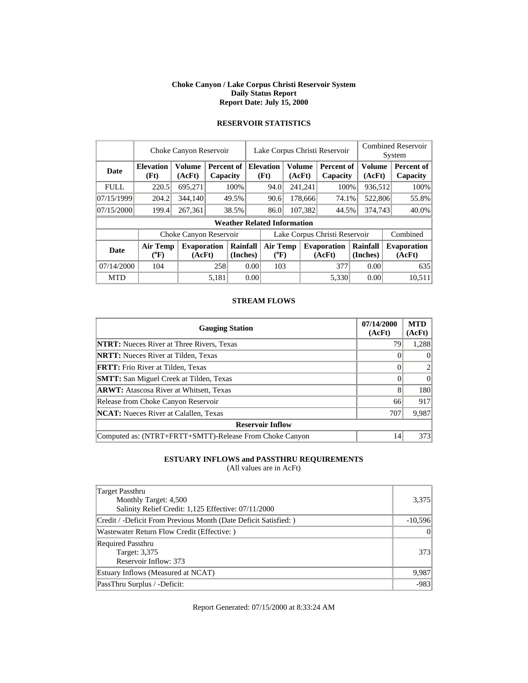#### **Choke Canyon / Lake Corpus Christi Reservoir System Daily Status Report Report Date: July 15, 2000**

|             | Choke Canyon Reservoir       | Lake Corpus Christi Reservoir |       |                        |                               |                                    |  | <b>Combined Reservoir</b><br>System |                               |                      |                         |          |                              |
|-------------|------------------------------|-------------------------------|-------|------------------------|-------------------------------|------------------------------------|--|-------------------------------------|-------------------------------|----------------------|-------------------------|----------|------------------------------|
| <b>Date</b> | <b>Elevation</b><br>(Ft)     | <b>Volume</b><br>(AcFt)       |       | Percent of<br>Capacity |                               | <b>Elevation</b><br>(Ft)<br>(AcFt) |  | Volume                              | <b>Percent of</b><br>Capacity |                      | <b>Volume</b><br>(AcFt) |          | Percent of<br>Capacity       |
| <b>FULL</b> | 220.5                        | 695,271                       |       | 100%                   |                               | 94.0                               |  | 241,241                             | 100%                          |                      | 936,512                 |          | 100%                         |
| 07/15/1999  | 204.2                        | 344,140                       |       | 49.5%                  |                               | 90.6                               |  | 178,666                             | 74.1%                         |                      | 522,806                 |          | 55.8%                        |
| 07/15/2000  | 199.4                        | 267,361                       |       | 38.5%                  |                               | 86.0                               |  | 107,382                             | 44.5%                         | 374,743              |                         |          | 40.0%                        |
|             |                              |                               |       |                        |                               | <b>Weather Related Information</b> |  |                                     |                               |                      |                         |          |                              |
|             |                              | Choke Canyon Reservoir        |       |                        | Lake Corpus Christi Reservoir |                                    |  |                                     |                               |                      |                         | Combined |                              |
| <b>Date</b> | <b>Air Temp</b><br>$(^{0}F)$ | <b>Evaporation</b><br>(AcFt)  |       | Rainfall<br>(Inches)   |                               | <b>Air Temp</b><br>$(^{0}F)$       |  |                                     | <b>Evaporation</b><br>(AcFt)  | Rainfall<br>(Inches) |                         |          | <b>Evaporation</b><br>(AcFt) |
| 07/14/2000  | 104                          |                               |       | 258<br>0.00            |                               | 103                                |  |                                     | 377                           |                      | 0.00                    |          | 635                          |
| <b>MTD</b>  |                              |                               | 5.181 |                        | 0.00                          |                                    |  |                                     | 5.330                         |                      | 0.00                    |          | 10.511                       |

### **RESERVOIR STATISTICS**

#### **STREAM FLOWS**

| <b>Gauging Station</b>                                  | 07/14/2000<br>(AcFt) | <b>MTD</b><br>(AcFt) |
|---------------------------------------------------------|----------------------|----------------------|
| <b>NTRT:</b> Nueces River at Three Rivers, Texas        | 79                   | 1,288                |
| <b>NRTT:</b> Nueces River at Tilden, Texas              |                      | $\theta$             |
| <b>FRTT:</b> Frio River at Tilden, Texas                |                      |                      |
| <b>SMTT:</b> San Miguel Creek at Tilden, Texas          |                      | $\Omega$             |
| <b>ARWT:</b> Atascosa River at Whitsett, Texas          | 8                    | 180                  |
| Release from Choke Canyon Reservoir                     | 66                   | 917                  |
| <b>NCAT:</b> Nueces River at Calallen, Texas            | 707                  | 9,987                |
| <b>Reservoir Inflow</b>                                 |                      |                      |
| Computed as: (NTRT+FRTT+SMTT)-Release From Choke Canyon | 14                   | 373                  |

### **ESTUARY INFLOWS and PASSTHRU REQUIREMENTS**

(All values are in AcFt)

| Target Passthru                                                  |           |
|------------------------------------------------------------------|-----------|
| Monthly Target: 4,500                                            | 3,375     |
| Salinity Relief Credit: 1,125 Effective: 07/11/2000              |           |
| Credit / -Deficit From Previous Month (Date Deficit Satisfied: ) | $-10,596$ |
| Wastewater Return Flow Credit (Effective: )                      | $\Omega$  |
| <b>Required Passthru</b>                                         |           |
| Target: 3,375                                                    | 3731      |
| Reservoir Inflow: 373                                            |           |
| Estuary Inflows (Measured at NCAT)                               | 9,987     |
| PassThru Surplus / -Deficit:                                     | $-983$    |

Report Generated: 07/15/2000 at 8:33:24 AM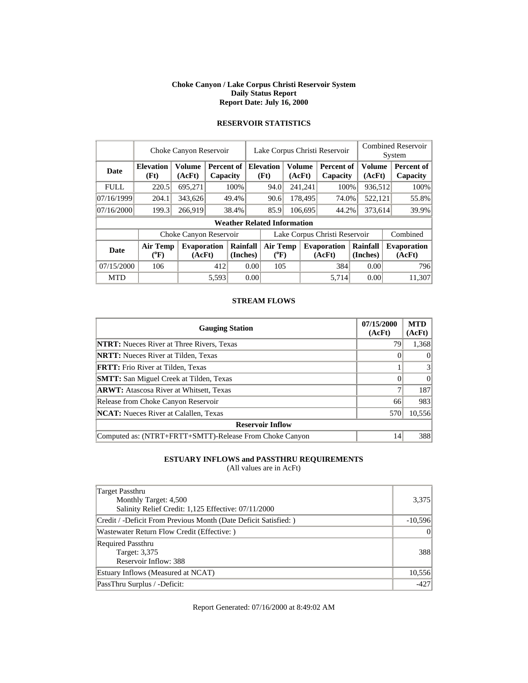#### **Choke Canyon / Lake Corpus Christi Reservoir System Daily Status Report Report Date: July 16, 2000**

|             | Choke Canyon Reservoir   | Lake Corpus Christi Reservoir |       |                        |                               |                                                              |  | <b>Combined Reservoir</b><br>System |                               |                      |                         |                              |                        |
|-------------|--------------------------|-------------------------------|-------|------------------------|-------------------------------|--------------------------------------------------------------|--|-------------------------------------|-------------------------------|----------------------|-------------------------|------------------------------|------------------------|
| <b>Date</b> | <b>Elevation</b><br>(Ft) | <b>Volume</b><br>(AcFt)       |       | Percent of<br>Capacity |                               | <b>Elevation</b><br>(Ft)                                     |  | Volume<br>(AcFt)                    | <b>Percent of</b><br>Capacity |                      | <b>Volume</b><br>(AcFt) |                              | Percent of<br>Capacity |
| <b>FULL</b> | 220.5                    | 695,271                       |       | 100%                   |                               | 94.0                                                         |  | 241,241                             | 100%                          |                      | 936,512                 |                              | 100%                   |
| 07/16/1999  | 204.1                    | 343,626                       |       | 49.4%                  |                               | 90.6                                                         |  | 178,495                             | 74.0%                         |                      | 522,121                 |                              | 55.8%                  |
| 07/16/2000  | 199.3                    | 266,919                       |       | 38.4%                  |                               | 85.9                                                         |  | 106,695<br>44.2%                    |                               | 373,614              |                         |                              | 39.9%                  |
|             |                          |                               |       |                        |                               | <b>Weather Related Information</b>                           |  |                                     |                               |                      |                         |                              |                        |
|             |                          | Choke Canyon Reservoir        |       |                        | Lake Corpus Christi Reservoir |                                                              |  |                                     |                               |                      |                         |                              | Combined               |
| <b>Date</b> | <b>Air Temp</b><br>(°F)  | <b>Evaporation</b><br>(AcFt)  |       | Rainfall<br>(Inches)   |                               | <b>Air Temp</b><br><b>Evaporation</b><br>$(^{0}F)$<br>(AcFt) |  |                                     |                               | Rainfall<br>(Inches) |                         | <b>Evaporation</b><br>(AcFt) |                        |
| 07/15/2000  | 106                      |                               |       | 412<br>0.00            |                               | 105                                                          |  |                                     | 384                           |                      | 0.00                    |                              | 796                    |
| <b>MTD</b>  |                          |                               | 5.593 |                        | 0.00                          |                                                              |  |                                     | 5.714                         |                      | 0.00                    |                              | 11.307                 |

# **RESERVOIR STATISTICS**

#### **STREAM FLOWS**

| <b>Gauging Station</b>                                  | 07/15/2000<br>(AcFt) | <b>MTD</b><br>(AcFt) |
|---------------------------------------------------------|----------------------|----------------------|
| <b>NTRT:</b> Nueces River at Three Rivers, Texas        | 79                   | 1,368                |
| <b>NRTT:</b> Nueces River at Tilden, Texas              |                      | $\theta$             |
| <b>FRTT:</b> Frio River at Tilden, Texas                |                      | 3                    |
| <b>SMTT:</b> San Miguel Creek at Tilden, Texas          |                      | $\Omega$             |
| <b>ARWT:</b> Atascosa River at Whitsett, Texas          |                      | 187                  |
| Release from Choke Canyon Reservoir                     | 66                   | 983                  |
| <b>NCAT:</b> Nueces River at Calallen, Texas            | 570                  | 10,556               |
| <b>Reservoir Inflow</b>                                 |                      |                      |
| Computed as: (NTRT+FRTT+SMTT)-Release From Choke Canyon | 14                   | 388                  |

### **ESTUARY INFLOWS and PASSTHRU REQUIREMENTS**

(All values are in AcFt)

| Target Passthru                                                  |           |
|------------------------------------------------------------------|-----------|
| Monthly Target: 4,500                                            | 3,375     |
| Salinity Relief Credit: 1,125 Effective: 07/11/2000              |           |
| Credit / -Deficit From Previous Month (Date Deficit Satisfied: ) | $-10,596$ |
| Wastewater Return Flow Credit (Effective: )                      | $\Omega$  |
| <b>Required Passthru</b>                                         |           |
| Target: 3,375                                                    | 388       |
| Reservoir Inflow: 388                                            |           |
| Estuary Inflows (Measured at NCAT)                               | 10,556    |
| PassThru Surplus / -Deficit:                                     | $-427$    |

Report Generated: 07/16/2000 at 8:49:02 AM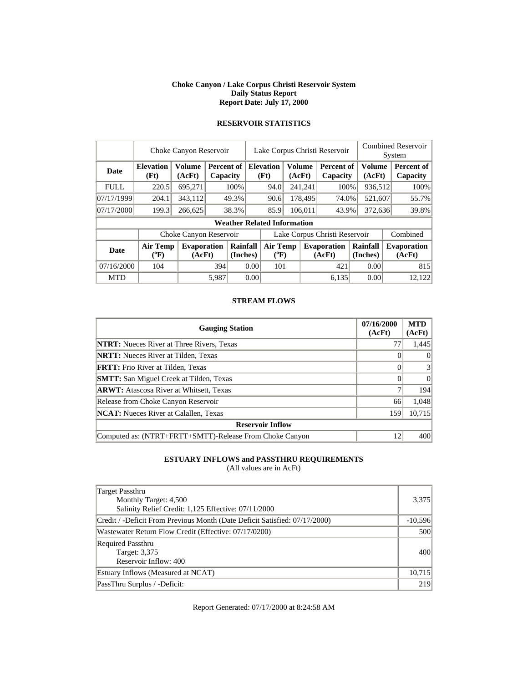#### **Choke Canyon / Lake Corpus Christi Reservoir System Daily Status Report Report Date: July 17, 2000**

|             | Choke Canyon Reservoir             |                              |       |                        |      |                                    | Lake Corpus Christi Reservoir |               | <b>Combined Reservoir</b><br>System |                         |  |                              |  |
|-------------|------------------------------------|------------------------------|-------|------------------------|------|------------------------------------|-------------------------------|---------------|-------------------------------------|-------------------------|--|------------------------------|--|
| <b>Date</b> | <b>Elevation</b><br>(Ft)           | Volume<br>(AcFt)             |       | Percent of<br>Capacity |      | <b>Elevation</b><br>(Ft)<br>(AcFt) |                               | <b>Volume</b> | Percent of<br>Capacity              | <b>Volume</b><br>(AcFt) |  | Percent of<br>Capacity       |  |
| <b>FULL</b> | 220.5                              | 695,271                      |       | 100%                   |      | 94.0                               |                               | 241,241       | 100%                                | 936,512                 |  | 100%                         |  |
| 07/17/1999  | 204.1                              | 343.112                      |       | 49.3%                  |      | 90.6                               |                               | 178,495       | 74.0%                               | 521,607                 |  | 55.7%                        |  |
| 07/17/2000  | 199.3                              | 266,625                      |       | 38.3%                  |      | 85.9                               |                               | 106,011       | 43.9%                               | 372,636                 |  | 39.8%                        |  |
|             | <b>Weather Related Information</b> |                              |       |                        |      |                                    |                               |               |                                     |                         |  |                              |  |
|             |                                    | Choke Canyon Reservoir       |       |                        |      |                                    |                               |               | Lake Corpus Christi Reservoir       |                         |  | Combined                     |  |
| Date        | Air Temp<br>$(^{0}F)$              | <b>Evaporation</b><br>(AcFt) |       | Rainfall<br>(Inches)   |      | <b>Air Temp</b><br>$(^{0}F)$       |                               |               | <b>Evaporation</b><br>(AcFt)        | Rainfall<br>(Inches)    |  | <b>Evaporation</b><br>(AcFt) |  |
| 07/16/2000  | 104                                |                              | 394   | 0.00                   |      | 101                                |                               |               | 421                                 | 0.00                    |  | 815                          |  |
| <b>MTD</b>  |                                    |                              | 5.987 |                        | 0.00 |                                    |                               |               | 6.135                               | 0.00                    |  | 12.122                       |  |

# **RESERVOIR STATISTICS**

#### **STREAM FLOWS**

| <b>Gauging Station</b>                                  | 07/16/2000<br>(AcFt) | <b>MTD</b><br>(AcFt) |  |  |  |  |  |  |  |
|---------------------------------------------------------|----------------------|----------------------|--|--|--|--|--|--|--|
| <b>NTRT:</b> Nueces River at Three Rivers, Texas        | 77                   | 1,445                |  |  |  |  |  |  |  |
| <b>NRTT:</b> Nueces River at Tilden, Texas              |                      | $\theta$             |  |  |  |  |  |  |  |
| <b>FRTT:</b> Frio River at Tilden, Texas                |                      | 3                    |  |  |  |  |  |  |  |
| <b>SMTT:</b> San Miguel Creek at Tilden, Texas          |                      | $\Omega$             |  |  |  |  |  |  |  |
| <b>ARWT:</b> Atascosa River at Whitsett, Texas          |                      | 194                  |  |  |  |  |  |  |  |
| Release from Choke Canyon Reservoir                     | 66                   | 1,048                |  |  |  |  |  |  |  |
| <b>NCAT:</b> Nueces River at Calallen, Texas            | 159                  | 10,715               |  |  |  |  |  |  |  |
| <b>Reservoir Inflow</b>                                 |                      |                      |  |  |  |  |  |  |  |
| Computed as: (NTRT+FRTT+SMTT)-Release From Choke Canyon | 12                   | 400                  |  |  |  |  |  |  |  |

### **ESTUARY INFLOWS and PASSTHRU REQUIREMENTS**

(All values are in AcFt)

| Target Passthru                                                            |           |
|----------------------------------------------------------------------------|-----------|
| Monthly Target: 4,500                                                      | 3,375     |
| Salinity Relief Credit: 1,125 Effective: 07/11/2000                        |           |
| Credit / -Deficit From Previous Month (Date Deficit Satisfied: 07/17/2000) | $-10,596$ |
| Wastewater Return Flow Credit (Effective: 07/17/0200)                      | 500       |
| <b>Required Passthru</b>                                                   |           |
| Target: 3,375                                                              | 400       |
| Reservoir Inflow: 400                                                      |           |
| Estuary Inflows (Measured at NCAT)                                         | 10,715    |
| PassThru Surplus / -Deficit:                                               | 219       |

Report Generated: 07/17/2000 at 8:24:58 AM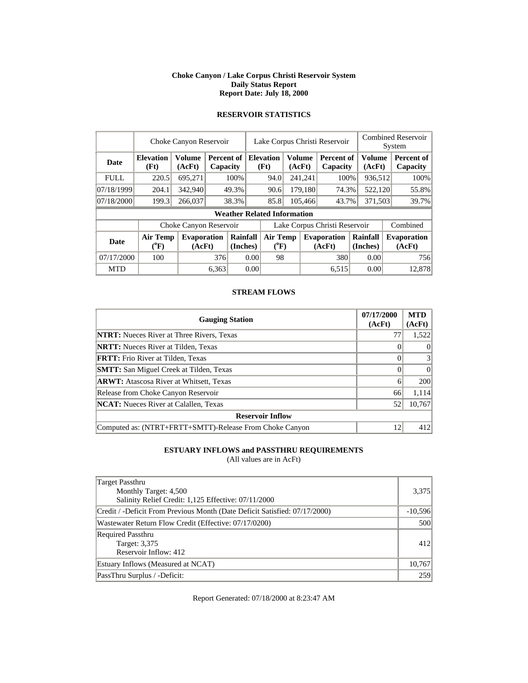#### **Choke Canyon / Lake Corpus Christi Reservoir System Daily Status Report Report Date: July 18, 2000**

|             | Choke Canyon Reservoir |                             |          |          |      | Lake Corpus Christi Reservoir      |               |                    |                               |          |         | <b>Combined Reservoir</b> |  |  |
|-------------|------------------------|-----------------------------|----------|----------|------|------------------------------------|---------------|--------------------|-------------------------------|----------|---------|---------------------------|--|--|
|             |                        |                             |          |          |      |                                    |               |                    |                               |          |         | System                    |  |  |
| <b>Date</b> | <b>Elevation</b>       | <b>Volume</b><br>Percent of |          |          |      | <b>Elevation</b>                   | <b>Volume</b> |                    | Percent of                    |          | Volume  | Percent of                |  |  |
|             | (Ft)                   | (AcFt)                      | Capacity |          |      | (Ft)                               | (AcFt)        |                    | Capacity                      |          | (AcFt)  | Capacity                  |  |  |
| <b>FULL</b> | 220.5                  | 695.271                     |          | 100%     |      | 94.0                               |               | 241,241            | 100%                          |          | 936,512 | 100%                      |  |  |
| 07/18/1999  | 204.1                  | 342,940                     |          | 49.3%    |      | 90.6                               | 179,180       |                    | 74.3%                         |          | 522,120 | 55.8%                     |  |  |
| 07/18/2000  | 199.3                  | 266,037                     |          | 38.3%    |      | 85.8                               | 105.466       |                    | 43.7%                         | 371.503  |         | 39.7%                     |  |  |
|             |                        |                             |          |          |      | <b>Weather Related Information</b> |               |                    |                               |          |         |                           |  |  |
|             |                        | Choke Canyon Reservoir      |          |          |      |                                    |               |                    | Lake Corpus Christi Reservoir |          |         | Combined                  |  |  |
| <b>Date</b> | <b>Air Temp</b>        | <b>Evaporation</b>          |          | Rainfall |      | <b>Air Temp</b>                    |               | <b>Evaporation</b> |                               | Rainfall |         | <b>Evaporation</b>        |  |  |
|             | $({}^0\mathrm{F})$     | (AcFt)                      |          | (Inches) |      | $({}^0\mathrm{F})$                 |               |                    | (AcFt)                        | (Inches) |         | (AcFt)                    |  |  |
| 07/17/2000  | 100                    |                             | 376      |          | 0.00 | 98                                 |               |                    | 380                           |          | 0.00    | 756                       |  |  |
| <b>MTD</b>  |                        |                             | 6.363    |          | 0.00 |                                    |               |                    | 6,515                         |          | 0.00    | 12.878                    |  |  |

# **RESERVOIR STATISTICS**

### **STREAM FLOWS**

| <b>Gauging Station</b>                                  | 07/17/2000<br>(AcFt) | <b>MTD</b><br>(AcFt) |
|---------------------------------------------------------|----------------------|----------------------|
| <b>NTRT:</b> Nueces River at Three Rivers, Texas        |                      | 1,522                |
| <b>NRTT:</b> Nueces River at Tilden, Texas              |                      | $\Omega$             |
| <b>FRTT:</b> Frio River at Tilden, Texas                |                      | 3                    |
| <b>SMTT:</b> San Miguel Creek at Tilden, Texas          |                      | $\Omega$             |
| <b>ARWT:</b> Atascosa River at Whitsett, Texas          | 6                    | 200                  |
| Release from Choke Canyon Reservoir                     | 66                   | 1,114                |
| <b>NCAT:</b> Nueces River at Calallen, Texas            | 52                   | 10,767               |
| <b>Reservoir Inflow</b>                                 |                      |                      |
| Computed as: (NTRT+FRTT+SMTT)-Release From Choke Canyon | 12                   | 412                  |

### **ESTUARY INFLOWS and PASSTHRU REQUIREMENTS**

(All values are in AcFt)

| <b>Target Passthru</b><br>Monthly Target: 4,500                            | 3,375     |  |  |  |  |
|----------------------------------------------------------------------------|-----------|--|--|--|--|
| Salinity Relief Credit: 1,125 Effective: 07/11/2000                        |           |  |  |  |  |
| Credit / -Deficit From Previous Month (Date Deficit Satisfied: 07/17/2000) | $-10,596$ |  |  |  |  |
| Wastewater Return Flow Credit (Effective: 07/17/0200)                      |           |  |  |  |  |
| <b>Required Passthru</b>                                                   |           |  |  |  |  |
| Target: 3,375                                                              | 412       |  |  |  |  |
| Reservoir Inflow: 412                                                      |           |  |  |  |  |
| Estuary Inflows (Measured at NCAT)                                         | 10,767    |  |  |  |  |
| PassThru Surplus / -Deficit:                                               | 259       |  |  |  |  |

Report Generated: 07/18/2000 at 8:23:47 AM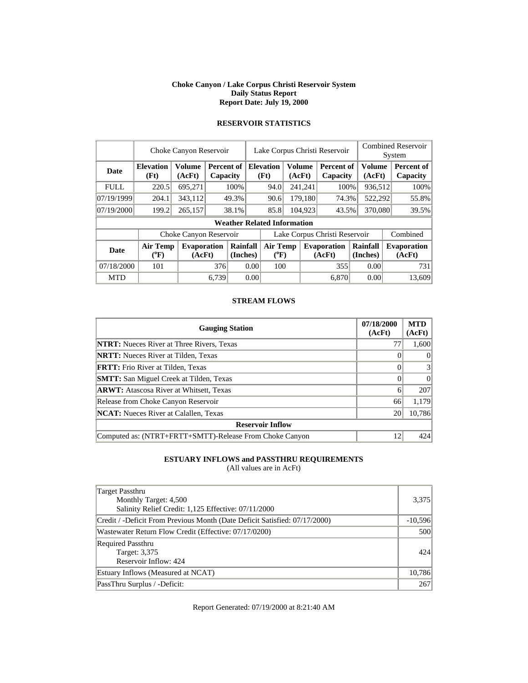#### **Choke Canyon / Lake Corpus Christi Reservoir System Daily Status Report Report Date: July 19, 2000**

|             | Choke Canyon Reservoir             |                              |                               |                      |      |                                                     | Lake Corpus Christi Reservoir |      | <b>Combined Reservoir</b><br>System |                         |      |                              |  |
|-------------|------------------------------------|------------------------------|-------------------------------|----------------------|------|-----------------------------------------------------|-------------------------------|------|-------------------------------------|-------------------------|------|------------------------------|--|
| <b>Date</b> | <b>Elevation</b><br>(Ft)           | <b>Volume</b><br>(AcFt)      | <b>Percent of</b><br>Capacity |                      |      | <b>Elevation</b><br><b>Volume</b><br>(Ft)<br>(AcFt) |                               |      | Percent of<br>Capacity              | <b>Volume</b><br>(AcFt) |      | Percent of<br>Capacity       |  |
| <b>FULL</b> | 220.5                              | 695,271                      |                               | 100%                 |      | 241,241<br>94.0                                     |                               | 100% | 936,512                             |                         | 100% |                              |  |
| 07/19/1999  | 204.1                              | 343,112                      |                               | 49.3%                |      | 179,180<br>90.6                                     |                               |      | 74.3%                               | 522,292                 |      | 55.8%                        |  |
| 07/19/2000  | 199.2                              | 265,157                      |                               | 38.1%                |      | 85.8                                                | 104,923                       |      | 43.5%                               | 370,080                 |      | $39.5\%$                     |  |
|             | <b>Weather Related Information</b> |                              |                               |                      |      |                                                     |                               |      |                                     |                         |      |                              |  |
|             |                                    | Choke Canyon Reservoir       |                               |                      |      |                                                     |                               |      | Lake Corpus Christi Reservoir       |                         |      | Combined                     |  |
| <b>Date</b> | <b>Air Temp</b><br>$(^{0}F)$       | <b>Evaporation</b><br>(AcFt) |                               | Rainfall<br>(Inches) |      | <b>Air Temp</b><br>$({}^0\mathrm{F})$               |                               |      | <b>Evaporation</b><br>(AcFt)        | Rainfall<br>(Inches)    |      | <b>Evaporation</b><br>(AcFt) |  |
| 07/18/2000  | 101                                |                              | 376                           |                      | 0.00 | 100                                                 |                               |      | 355                                 | 0.00                    |      | 731                          |  |
| <b>MTD</b>  |                                    |                              | 6.739                         |                      | 0.00 |                                                     |                               |      | 6.870                               | 0.00                    |      | 13.609                       |  |

# **RESERVOIR STATISTICS**

#### **STREAM FLOWS**

| <b>Gauging Station</b>                                  | 07/18/2000<br>(AcFt) | <b>MTD</b><br>(AcFt) |
|---------------------------------------------------------|----------------------|----------------------|
| <b>NTRT:</b> Nueces River at Three Rivers, Texas        | 77                   | 1,600                |
| <b>NRTT:</b> Nueces River at Tilden, Texas              |                      | $\theta$             |
| <b>FRTT:</b> Frio River at Tilden, Texas                |                      | 3                    |
| <b>SMTT:</b> San Miguel Creek at Tilden, Texas          |                      | $\Omega$             |
| <b>ARWT:</b> Atascosa River at Whitsett, Texas          | 6                    | 207                  |
| Release from Choke Canyon Reservoir                     | 66                   | 1,179                |
| <b>NCAT:</b> Nueces River at Calallen, Texas            | 20                   | 10,786               |
| <b>Reservoir Inflow</b>                                 |                      |                      |
| Computed as: (NTRT+FRTT+SMTT)-Release From Choke Canyon | 12                   | 424                  |

### **ESTUARY INFLOWS and PASSTHRU REQUIREMENTS**

(All values are in AcFt)

| Target Passthru<br>Monthly Target: 4,500<br>Salinity Relief Credit: 1,125 Effective: 07/11/2000 | 3,375     |
|-------------------------------------------------------------------------------------------------|-----------|
| Credit / -Deficit From Previous Month (Date Deficit Satisfied: 07/17/2000)                      | $-10,596$ |
| Wastewater Return Flow Credit (Effective: 07/17/0200)                                           | 500       |
| <b>Required Passthru</b><br>Target: 3,375<br>Reservoir Inflow: 424                              | 424       |
| Estuary Inflows (Measured at NCAT)                                                              | 10,786    |
| PassThru Surplus / -Deficit:                                                                    | 267       |

Report Generated: 07/19/2000 at 8:21:40 AM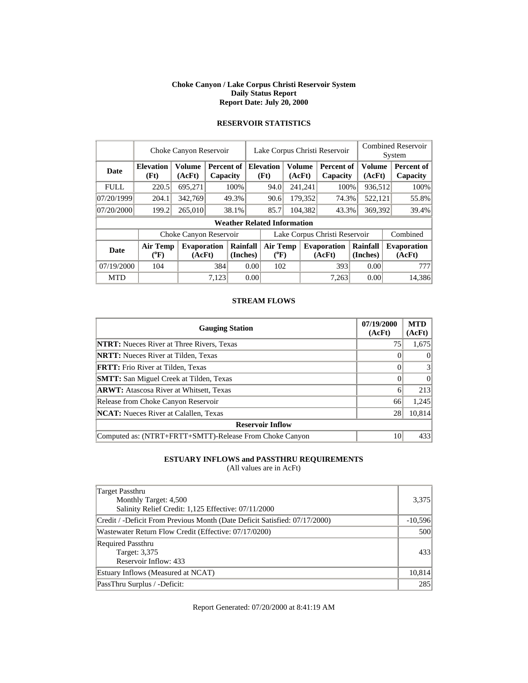#### **Choke Canyon / Lake Corpus Christi Reservoir System Daily Status Report Report Date: July 20, 2000**

|             | Choke Canyon Reservoir    |                              |       |                        |                               | Lake Corpus Christi Reservoir      |                         |         |                               | <b>Combined Reservoir</b><br>System |  |                              |
|-------------|---------------------------|------------------------------|-------|------------------------|-------------------------------|------------------------------------|-------------------------|---------|-------------------------------|-------------------------------------|--|------------------------------|
| <b>Date</b> | <b>Elevation</b><br>(Ft)  | <b>Volume</b><br>(AcFt)      |       | Percent of<br>Capacity |                               | <b>Elevation</b><br>(Ft)           | <b>Volume</b><br>(AcFt) |         | <b>Percent of</b><br>Capacity | <b>Volume</b><br>(AcFt)             |  | Percent of<br>Capacity       |
| <b>FULL</b> | 220.5                     | 695,271                      |       | 100\%                  |                               | 94.0                               |                         | 241,241 | 100%                          | 936,512                             |  | 100%                         |
| 07/20/1999  | 204.1                     | 342,769                      |       | 49.3%                  |                               | 90.6                               |                         | 179,352 | 74.3%                         | 522,121                             |  | 55.8%                        |
| 07/20/2000  | 199.2                     | 265,010                      |       | 38.1%                  |                               | 104,382<br>85.7                    |                         |         | 43.3%                         | 369,392                             |  | 39.4%                        |
|             |                           |                              |       |                        |                               | <b>Weather Related Information</b> |                         |         |                               |                                     |  |                              |
|             |                           | Choke Canyon Reservoir       |       |                        | Lake Corpus Christi Reservoir |                                    |                         |         |                               |                                     |  | Combined                     |
| <b>Date</b> | Air Temp<br>$(^{\circ}F)$ | <b>Evaporation</b><br>(AcFt) |       | Rainfall<br>(Inches)   |                               | <b>Air Temp</b><br>$(^{0}F)$       |                         |         | <b>Evaporation</b><br>(AcFt)  | Rainfall<br>(Inches)                |  | <b>Evaporation</b><br>(AcFt) |
| 07/19/2000  | 104                       |                              | 384   |                        | 0.00                          | 102                                |                         |         | 393                           | 0.00                                |  | 777                          |
| <b>MTD</b>  |                           |                              | 7.123 |                        | 0.00                          |                                    |                         |         | 7,263                         | 0.00                                |  | 14,386                       |

# **RESERVOIR STATISTICS**

#### **STREAM FLOWS**

| <b>Gauging Station</b>                                  | 07/19/2000<br>(AcFt) | <b>MTD</b><br>(AcFt) |
|---------------------------------------------------------|----------------------|----------------------|
| <b>NTRT:</b> Nueces River at Three Rivers, Texas        | 75                   | 1,675                |
| <b>NRTT:</b> Nueces River at Tilden, Texas              |                      | $\theta$             |
| <b>FRTT:</b> Frio River at Tilden, Texas                |                      | 3                    |
| <b>SMTT:</b> San Miguel Creek at Tilden, Texas          |                      | $\theta$             |
| <b>ARWT:</b> Atascosa River at Whitsett, Texas          | 6                    | 213                  |
| Release from Choke Canyon Reservoir                     | 66                   | 1,245                |
| <b>NCAT:</b> Nueces River at Calallen, Texas            | 28                   | 10,814               |
| <b>Reservoir Inflow</b>                                 |                      |                      |
| Computed as: (NTRT+FRTT+SMTT)-Release From Choke Canyon | 10                   | 433                  |

### **ESTUARY INFLOWS and PASSTHRU REQUIREMENTS**

(All values are in AcFt)

| Target Passthru<br>Monthly Target: 4,500<br>Salinity Relief Credit: 1,125 Effective: 07/11/2000 | 3,375     |
|-------------------------------------------------------------------------------------------------|-----------|
| Credit / -Deficit From Previous Month (Date Deficit Satisfied: 07/17/2000)                      | $-10,596$ |
| Wastewater Return Flow Credit (Effective: 07/17/0200)                                           | 500       |
| <b>Required Passthru</b><br>Target: 3,375<br>Reservoir Inflow: 433                              | 433       |
| Estuary Inflows (Measured at NCAT)                                                              | 10,814    |
| PassThru Surplus / -Deficit:                                                                    | 285       |

Report Generated: 07/20/2000 at 8:41:19 AM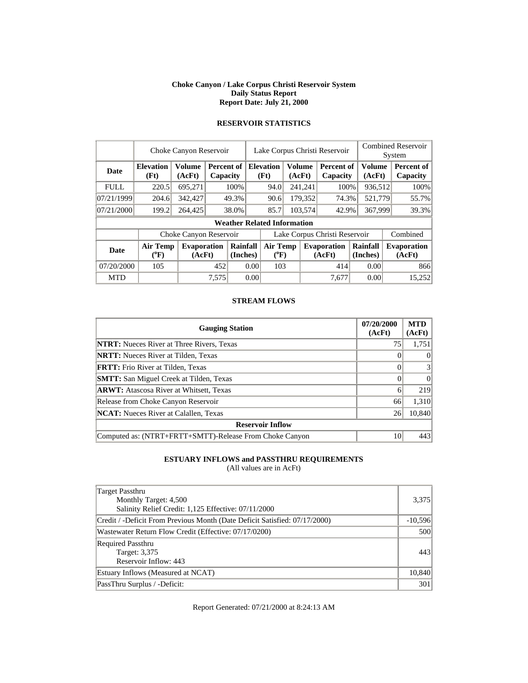#### **Choke Canyon / Lake Corpus Christi Reservoir System Daily Status Report Report Date: July 21, 2000**

|             | Choke Canyon Reservoir       | Lake Corpus Christi Reservoir |                               |                      |      |                                    |                         | <b>Combined Reservoir</b><br>System |                               |         |                      |  |                               |
|-------------|------------------------------|-------------------------------|-------------------------------|----------------------|------|------------------------------------|-------------------------|-------------------------------------|-------------------------------|---------|----------------------|--|-------------------------------|
| Date        | <b>Elevation</b><br>(Ft)     | <b>Volume</b><br>(AcFt)       | <b>Percent of</b><br>Capacity |                      |      | <b>Elevation</b><br>(Ft)           | <b>Volume</b><br>(AcFt) |                                     | <b>Percent of</b><br>Capacity |         | Volume<br>(AcFt)     |  | <b>Percent of</b><br>Capacity |
| <b>FULL</b> | 220.5                        | 695,271                       |                               | 100%                 |      | 94.0                               |                         | 241,241                             | 100%                          |         | 936,512              |  | 100%                          |
| 07/21/1999  | 204.6                        | 342,427                       |                               | 49.3%                |      | 90.6                               |                         | 179,352                             | 74.3%                         |         | 521,779              |  | 55.7%                         |
| 07/21/2000  | 199.2                        | 264,425                       |                               | 38.0%                |      | 85.7                               |                         | 103,574<br>42.9%                    |                               | 367,999 |                      |  | 39.3%                         |
|             |                              |                               |                               |                      |      | <b>Weather Related Information</b> |                         |                                     |                               |         |                      |  |                               |
|             |                              | Choke Canyon Reservoir        |                               |                      |      |                                    |                         |                                     | Lake Corpus Christi Reservoir |         |                      |  | Combined                      |
| <b>Date</b> | <b>Air Temp</b><br>$(^{0}F)$ | <b>Evaporation</b><br>(AcFt)  |                               | Rainfall<br>(Inches) |      | <b>Air Temp</b><br>$(^{0}F)$       |                         |                                     | <b>Evaporation</b><br>(AcFt)  |         | Rainfall<br>(Inches) |  | <b>Evaporation</b><br>(AcFt)  |
| 07/20/2000  | 105                          |                               | 452                           |                      | 0.00 | 103                                |                         |                                     | 414                           |         | 0.00                 |  | 866                           |
| <b>MTD</b>  |                              |                               | 7,575                         |                      | 0.00 |                                    |                         |                                     | 7,677                         |         | 0.00                 |  | 15,252                        |

# **RESERVOIR STATISTICS**

#### **STREAM FLOWS**

| <b>Gauging Station</b>                                  | 07/20/2000<br>(AcFt) | <b>MTD</b><br>(AcFt) |
|---------------------------------------------------------|----------------------|----------------------|
| <b>NTRT:</b> Nueces River at Three Rivers, Texas        | 75                   | 1,751                |
| <b>NRTT:</b> Nueces River at Tilden, Texas              |                      | $\theta$             |
| <b>FRTT:</b> Frio River at Tilden, Texas                |                      | 3                    |
| <b>SMTT:</b> San Miguel Creek at Tilden, Texas          |                      | $\Omega$             |
| <b>ARWT:</b> Atascosa River at Whitsett, Texas          | 6                    | 219                  |
| Release from Choke Canyon Reservoir                     | 66                   | 1,310                |
| <b>NCAT:</b> Nueces River at Calallen, Texas            | 26                   | 10,840               |
| <b>Reservoir Inflow</b>                                 |                      |                      |
| Computed as: (NTRT+FRTT+SMTT)-Release From Choke Canyon | 10                   | 443                  |

### **ESTUARY INFLOWS and PASSTHRU REQUIREMENTS**

(All values are in AcFt)

| Target Passthru                                                            |           |
|----------------------------------------------------------------------------|-----------|
| Monthly Target: 4,500                                                      | 3,375     |
| Salinity Relief Credit: 1,125 Effective: 07/11/2000                        |           |
| Credit / -Deficit From Previous Month (Date Deficit Satisfied: 07/17/2000) | $-10,596$ |
| Wastewater Return Flow Credit (Effective: 07/17/0200)                      | 500       |
| <b>Required Passthru</b>                                                   |           |
| Target: 3,375                                                              | 443       |
| Reservoir Inflow: 443                                                      |           |
| Estuary Inflows (Measured at NCAT)                                         | 10,840    |
| PassThru Surplus / -Deficit:                                               | 301       |

Report Generated: 07/21/2000 at 8:24:13 AM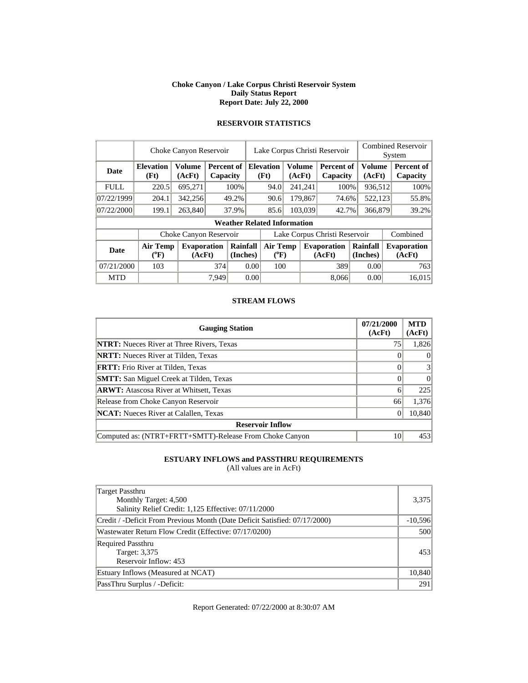#### **Choke Canyon / Lake Corpus Christi Reservoir System Daily Status Report Report Date: July 22, 2000**

|             | Choke Canyon Reservoir                |                              |       |                        |      | Lake Corpus Christi Reservoir      |  |                  |                               |                      |                  | <b>Combined Reservoir</b><br>System |                              |  |
|-------------|---------------------------------------|------------------------------|-------|------------------------|------|------------------------------------|--|------------------|-------------------------------|----------------------|------------------|-------------------------------------|------------------------------|--|
| Date        | <b>Elevation</b><br>(Ft)              | <b>Volume</b><br>(AcFt)      |       | Percent of<br>Capacity |      | <b>Elevation</b><br>(Ft)           |  | Volume<br>(AcFt) | Percent of<br>Capacity        |                      | Volume<br>(AcFt) |                                     | Percent of<br>Capacity       |  |
| <b>FULL</b> | 220.5                                 | 695,271                      |       | 100%                   |      | 94.0                               |  | 241,241          | 100%                          |                      | 936,512          |                                     | 100%                         |  |
| 07/22/1999  | 204.1                                 | 342,256                      |       | 49.2%                  |      | 90.6                               |  | 179,867          | 74.6%                         |                      | 522,123          |                                     | 55.8%                        |  |
| 07/22/2000  | 199.1                                 | 263,840                      |       | 37.9%                  |      | 85.6                               |  | 103,039<br>42.7% |                               | 366,879              |                  |                                     | 39.2%                        |  |
|             |                                       |                              |       |                        |      | <b>Weather Related Information</b> |  |                  |                               |                      |                  |                                     |                              |  |
|             |                                       | Choke Canyon Reservoir       |       |                        |      |                                    |  |                  | Lake Corpus Christi Reservoir |                      |                  |                                     | Combined                     |  |
| Date        | <b>Air Temp</b><br>$({}^o\mathrm{F})$ | <b>Evaporation</b><br>(AcFt) |       | Rainfall<br>(Inches)   |      | Air Temp<br>$(^{0}F)$              |  |                  | <b>Evaporation</b><br>(AcFt)  | Rainfall<br>(Inches) |                  |                                     | <b>Evaporation</b><br>(AcFt) |  |
| 07/21/2000  | 103                                   |                              | 374   |                        | 0.00 | 100                                |  |                  | 389                           |                      | 0.00             |                                     | 763                          |  |
| <b>MTD</b>  |                                       |                              | 7.949 |                        | 0.00 |                                    |  |                  | 8.066                         |                      | 0.00             |                                     | 16.015                       |  |

# **RESERVOIR STATISTICS**

#### **STREAM FLOWS**

| <b>Gauging Station</b>                                  | 07/21/2000<br>(AcFt) | <b>MTD</b><br>(AcFt) |
|---------------------------------------------------------|----------------------|----------------------|
| <b>NTRT:</b> Nueces River at Three Rivers, Texas        | 75                   | 1,826                |
| <b>NRTT:</b> Nueces River at Tilden, Texas              |                      | $\theta$             |
| <b>FRTT:</b> Frio River at Tilden, Texas                |                      | 3                    |
| <b>SMTT:</b> San Miguel Creek at Tilden, Texas          |                      | $\Omega$             |
| <b>ARWT:</b> Atascosa River at Whitsett, Texas          | 6                    | 225                  |
| Release from Choke Canyon Reservoir                     | 66                   | 1,376                |
| <b>NCAT:</b> Nueces River at Calallen, Texas            |                      | 10,840               |
| <b>Reservoir Inflow</b>                                 |                      |                      |
| Computed as: (NTRT+FRTT+SMTT)-Release From Choke Canyon | 10                   | 453                  |

### **ESTUARY INFLOWS and PASSTHRU REQUIREMENTS**

(All values are in AcFt)

| Target Passthru<br>Monthly Target: 4,500<br>Salinity Relief Credit: 1,125 Effective: 07/11/2000 | 3,375     |
|-------------------------------------------------------------------------------------------------|-----------|
| Credit / -Deficit From Previous Month (Date Deficit Satisfied: 07/17/2000)                      | $-10,596$ |
| Wastewater Return Flow Credit (Effective: 07/17/0200)                                           | 500       |
| <b>Required Passthru</b><br>Target: 3,375<br>Reservoir Inflow: 453                              | 453       |
| Estuary Inflows (Measured at NCAT)                                                              | 10,840    |
| PassThru Surplus / -Deficit:                                                                    | 291       |

Report Generated: 07/22/2000 at 8:30:07 AM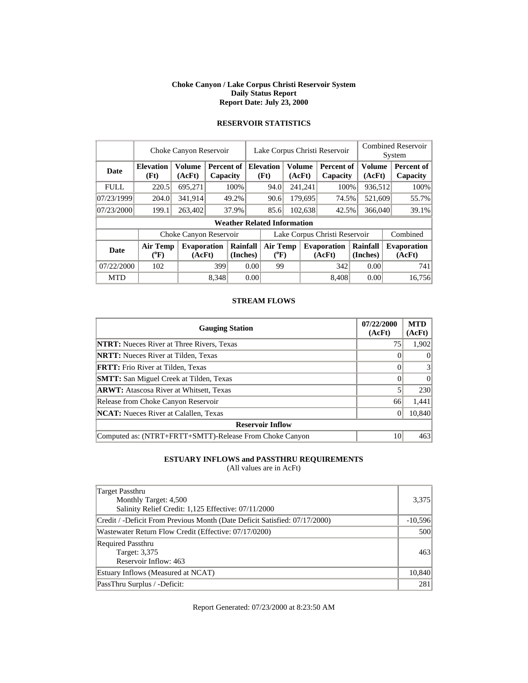#### **Choke Canyon / Lake Corpus Christi Reservoir System Daily Status Report Report Date: July 23, 2000**

|             | Choke Canyon Reservoir       |                              |                        |                      |      | Lake Corpus Christi Reservoir      |        |                  |                               |                      |                         | <b>Combined Reservoir</b><br>System |
|-------------|------------------------------|------------------------------|------------------------|----------------------|------|------------------------------------|--------|------------------|-------------------------------|----------------------|-------------------------|-------------------------------------|
| <b>Date</b> | <b>Elevation</b><br>(Ft)     | <b>Volume</b><br>(AcFt)      | Percent of<br>Capacity |                      |      | <b>Elevation</b><br>(Ft)           | (AcFt) | Volume           | <b>Percent of</b><br>Capacity |                      | <b>Volume</b><br>(AcFt) | Percent of<br>Capacity              |
| <b>FULL</b> | 220.5                        | 695,271                      |                        | 100%                 |      | 94.0                               |        | 241,241          | 100%                          |                      | 936,512                 | 100%                                |
| 07/23/1999  | 204.0                        | 341.914                      |                        | 49.2%                |      | 90.6                               |        | 179,695          | 74.5%                         |                      | 521,609                 | 55.7%                               |
| 07/23/2000  | 199.1                        | 263,402                      |                        | 37.9%                |      | 85.6                               |        | 102,638<br>42.5% |                               | 366,040              |                         | 39.1%                               |
|             |                              |                              |                        |                      |      | <b>Weather Related Information</b> |        |                  |                               |                      |                         |                                     |
|             |                              | Choke Canyon Reservoir       |                        |                      |      |                                    |        |                  | Lake Corpus Christi Reservoir |                      |                         | Combined                            |
| <b>Date</b> | <b>Air Temp</b><br>$(^{0}F)$ | <b>Evaporation</b><br>(AcFt) |                        | Rainfall<br>(Inches) |      | <b>Air Temp</b><br>$(^{0}F)$       |        |                  | <b>Evaporation</b><br>(AcFt)  | Rainfall<br>(Inches) |                         | <b>Evaporation</b><br>(AcFt)        |
| 07/22/2000  | 102                          |                              | 399                    |                      | 0.00 | 99                                 |        |                  | 342                           |                      | 0.00                    | 741                                 |
| <b>MTD</b>  |                              |                              | 8.348                  |                      | 0.00 |                                    |        |                  | 8.408                         |                      | 0.00                    | 16.756                              |

# **RESERVOIR STATISTICS**

#### **STREAM FLOWS**

| <b>Gauging Station</b>                                  | 07/22/2000<br>(AcFt) | <b>MTD</b><br>(AcFt) |
|---------------------------------------------------------|----------------------|----------------------|
| <b>NTRT:</b> Nueces River at Three Rivers, Texas        | 75                   | 1,902                |
| <b>NRTT:</b> Nueces River at Tilden, Texas              |                      | $\theta$             |
| <b>FRTT:</b> Frio River at Tilden, Texas                |                      | 3                    |
| <b>SMTT:</b> San Miguel Creek at Tilden, Texas          |                      | $\theta$             |
| <b>ARWT:</b> Atascosa River at Whitsett, Texas          |                      | 230                  |
| Release from Choke Canyon Reservoir                     | 66                   | 1,441                |
| <b>NCAT:</b> Nueces River at Calallen, Texas            |                      | 10,840               |
| <b>Reservoir Inflow</b>                                 |                      |                      |
| Computed as: (NTRT+FRTT+SMTT)-Release From Choke Canyon | 10                   | 463                  |

### **ESTUARY INFLOWS and PASSTHRU REQUIREMENTS**

(All values are in AcFt)

| Target Passthru<br>Monthly Target: 4,500<br>Salinity Relief Credit: 1,125 Effective: 07/11/2000 | 3,375     |
|-------------------------------------------------------------------------------------------------|-----------|
| Credit / -Deficit From Previous Month (Date Deficit Satisfied: 07/17/2000)                      | $-10,596$ |
| Wastewater Return Flow Credit (Effective: 07/17/0200)                                           | 500       |
| <b>Required Passthru</b><br>Target: 3,375<br>Reservoir Inflow: 463                              | 463       |
| Estuary Inflows (Measured at NCAT)                                                              | 10,840    |
| PassThru Surplus / -Deficit:                                                                    | 281       |

Report Generated: 07/23/2000 at 8:23:50 AM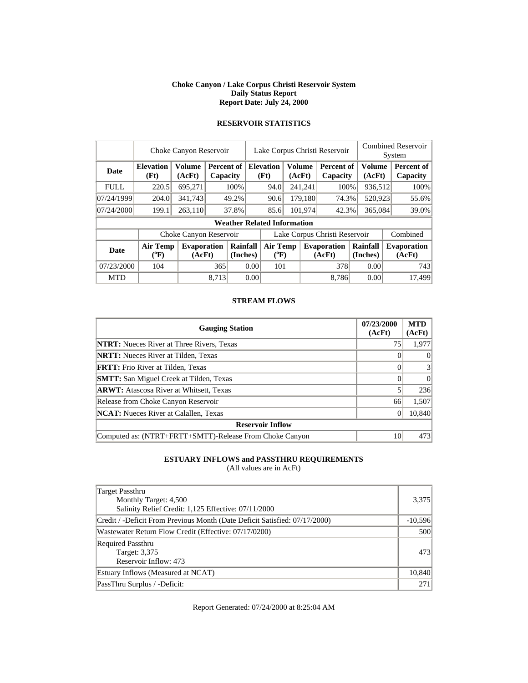#### **Choke Canyon / Lake Corpus Christi Reservoir System Daily Status Report Report Date: July 24, 2000**

|             | Choke Canyon Reservoir   |                              |                      |                        |      | Lake Corpus Christi Reservoir                |  |                  |                               |                      |                  | <b>Combined Reservoir</b><br>System |                              |  |
|-------------|--------------------------|------------------------------|----------------------|------------------------|------|----------------------------------------------|--|------------------|-------------------------------|----------------------|------------------|-------------------------------------|------------------------------|--|
| Date        | <b>Elevation</b><br>(Ft) | <b>Volume</b><br>(AcFt)      |                      | Percent of<br>Capacity |      | Volume<br><b>Elevation</b><br>(Ft)<br>(AcFt) |  |                  | Percent of<br>Capacity        |                      | Volume<br>(AcFt) |                                     | Percent of<br>Capacity       |  |
| <b>FULL</b> | 220.5                    | 695,271                      |                      | 100%                   |      | 94.0                                         |  | 241,241          | 100%                          |                      | 936,512          |                                     | 100%                         |  |
| 07/24/1999  | 204.0                    | 341,743                      |                      | 49.2%                  |      | 90.6                                         |  | 179,180          | 74.3%                         |                      | 520,923          |                                     | 55.6%                        |  |
| 07/24/2000  | 199.1                    | 263,110                      |                      | 37.8%                  |      | 85.6                                         |  | 101,974<br>42.3% |                               | 365,084              |                  |                                     | 39.0%                        |  |
|             |                          |                              |                      |                        |      | <b>Weather Related Information</b>           |  |                  |                               |                      |                  |                                     |                              |  |
|             |                          | Choke Canyon Reservoir       |                      |                        |      |                                              |  |                  | Lake Corpus Christi Reservoir |                      |                  |                                     | Combined                     |  |
| Date        | <b>Air Temp</b><br>(°F)  | <b>Evaporation</b><br>(AcFt) | Rainfall<br>(Inches) |                        |      | Air Temp<br>$(^{0}F)$                        |  |                  | <b>Evaporation</b><br>(AcFt)  | Rainfall<br>(Inches) |                  |                                     | <b>Evaporation</b><br>(AcFt) |  |
| 07/23/2000  | 104                      |                              | 365                  |                        | 0.00 | 101                                          |  |                  | 378                           |                      | 0.00             |                                     | 743                          |  |
| <b>MTD</b>  |                          |                              | 8.713                |                        | 0.00 |                                              |  |                  | 8,786                         |                      | 0.00             |                                     | 17.499                       |  |

# **RESERVOIR STATISTICS**

#### **STREAM FLOWS**

| <b>Gauging Station</b>                                  | 07/23/2000<br>(AcFt) | <b>MTD</b><br>(AcFt) |
|---------------------------------------------------------|----------------------|----------------------|
| <b>NTRT:</b> Nueces River at Three Rivers, Texas        | 75                   | 1,977                |
| <b>NRTT:</b> Nueces River at Tilden, Texas              |                      | $\theta$             |
| <b>FRTT:</b> Frio River at Tilden, Texas                |                      | 3                    |
| <b>SMTT:</b> San Miguel Creek at Tilden, Texas          |                      | $\theta$             |
| <b>ARWT:</b> Atascosa River at Whitsett, Texas          |                      | 236                  |
| Release from Choke Canyon Reservoir                     | 66                   | 1,507                |
| <b>NCAT:</b> Nueces River at Calallen, Texas            |                      | 10,840               |
| <b>Reservoir Inflow</b>                                 |                      |                      |
| Computed as: (NTRT+FRTT+SMTT)-Release From Choke Canyon | 10                   | 473                  |

### **ESTUARY INFLOWS and PASSTHRU REQUIREMENTS**

(All values are in AcFt)

| Target Passthru<br>Monthly Target: 4,500<br>Salinity Relief Credit: 1,125 Effective: 07/11/2000 | 3,375     |
|-------------------------------------------------------------------------------------------------|-----------|
| Credit / -Deficit From Previous Month (Date Deficit Satisfied: 07/17/2000)                      | $-10,596$ |
| Wastewater Return Flow Credit (Effective: 07/17/0200)                                           | 500       |
| <b>Required Passthru</b><br>Target: 3,375<br>Reservoir Inflow: 473                              | 473       |
| Estuary Inflows (Measured at NCAT)                                                              | 10,840    |
| PassThru Surplus / -Deficit:                                                                    | 271       |

Report Generated: 07/24/2000 at 8:25:04 AM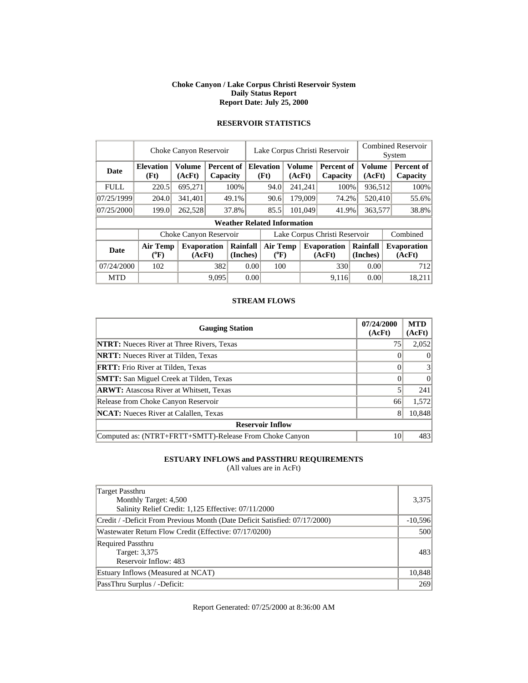#### **Choke Canyon / Lake Corpus Christi Reservoir System Daily Status Report Report Date: July 25, 2000**

|             | Choke Canyon Reservoir       |                              |       |                        |                               | Lake Corpus Christi Reservoir      |                  |         |                               |                         |  | <b>Combined Reservoir</b><br>System |  |  |
|-------------|------------------------------|------------------------------|-------|------------------------|-------------------------------|------------------------------------|------------------|---------|-------------------------------|-------------------------|--|-------------------------------------|--|--|
| <b>Date</b> | <b>Elevation</b><br>(Ft)     | <b>Volume</b><br>(AcFt)      |       | Percent of<br>Capacity |                               | <b>Elevation</b><br>(Ft)           | Volume<br>(AcFt) |         | <b>Percent of</b><br>Capacity | <b>Volume</b><br>(AcFt) |  | Percent of<br>Capacity              |  |  |
| <b>FULL</b> | 220.5                        | 695,271                      |       | 100%                   |                               | 94.0                               |                  | 241,241 | 100%                          | 936,512                 |  | 100%                                |  |  |
| 07/25/1999  | 204.0                        | 341,401                      |       | 49.1%                  |                               | 90.6                               | 179,009          |         | 74.2%                         | 520,410                 |  | 55.6%                               |  |  |
| 07/25/2000  | 199.0                        | 262,528                      |       | 37.8%                  |                               | 85.5                               |                  | 101,049 | 41.9%                         | 363,577                 |  | 38.8%                               |  |  |
|             |                              |                              |       |                        |                               | <b>Weather Related Information</b> |                  |         |                               |                         |  |                                     |  |  |
|             |                              | Choke Canyon Reservoir       |       |                        | Lake Corpus Christi Reservoir |                                    |                  |         |                               |                         |  | Combined                            |  |  |
| <b>Date</b> | <b>Air Temp</b><br>$(^{0}F)$ | <b>Evaporation</b><br>(AcFt) |       | Rainfall<br>(Inches)   |                               | <b>Air Temp</b><br>$(^{0}F)$       |                  |         | <b>Evaporation</b><br>(AcFt)  | Rainfall<br>(Inches)    |  | <b>Evaporation</b><br>(AcFt)        |  |  |
| 07/24/2000  | 102                          |                              |       | 382<br>0.00            |                               | 100                                |                  |         | 330                           | 0.00                    |  | 712                                 |  |  |
| <b>MTD</b>  |                              |                              | 9.095 |                        | 0.00                          |                                    |                  |         | 9.116                         | 0.00                    |  | 18,211                              |  |  |

# **RESERVOIR STATISTICS**

#### **STREAM FLOWS**

| <b>Gauging Station</b>                                  | 07/24/2000<br>(AcFt) | <b>MTD</b><br>(AcFt) |
|---------------------------------------------------------|----------------------|----------------------|
| <b>NTRT:</b> Nueces River at Three Rivers, Texas        | 75                   | 2,052                |
| <b>NRTT:</b> Nueces River at Tilden, Texas              |                      | $\theta$             |
| <b>FRTT:</b> Frio River at Tilden, Texas                |                      | 3                    |
| <b>SMTT:</b> San Miguel Creek at Tilden, Texas          |                      | $\theta$             |
| <b>ARWT:</b> Atascosa River at Whitsett, Texas          |                      | 241                  |
| Release from Choke Canyon Reservoir                     | 66                   | 1,572                |
| <b>NCAT:</b> Nueces River at Calallen, Texas            | 8                    | 10,848               |
| <b>Reservoir Inflow</b>                                 |                      |                      |
| Computed as: (NTRT+FRTT+SMTT)-Release From Choke Canyon | 10                   | 483                  |

### **ESTUARY INFLOWS and PASSTHRU REQUIREMENTS**

(All values are in AcFt)

| Target Passthru<br>Monthly Target: 4,500<br>Salinity Relief Credit: 1,125 Effective: 07/11/2000 | 3,375     |
|-------------------------------------------------------------------------------------------------|-----------|
| Credit / -Deficit From Previous Month (Date Deficit Satisfied: 07/17/2000)                      | $-10,596$ |
| Wastewater Return Flow Credit (Effective: 07/17/0200)                                           | 500       |
| <b>Required Passthru</b><br>Target: 3,375<br>Reservoir Inflow: 483                              | 483       |
| Estuary Inflows (Measured at NCAT)                                                              | 10,848    |
| PassThru Surplus / -Deficit:                                                                    | 269       |

Report Generated: 07/25/2000 at 8:36:00 AM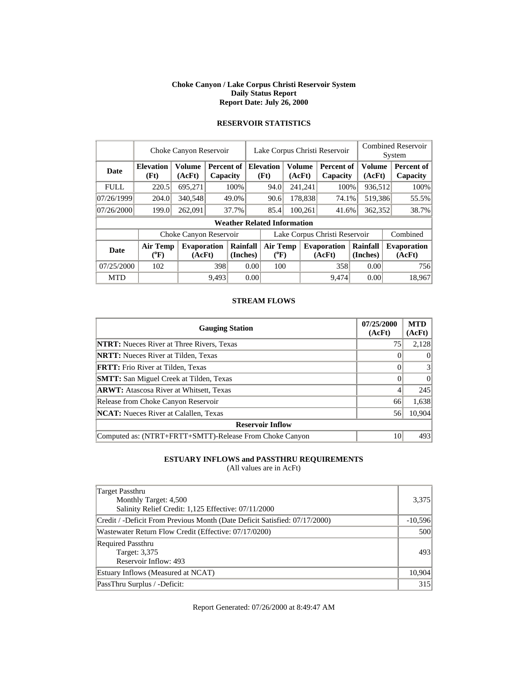#### **Choke Canyon / Lake Corpus Christi Reservoir System Daily Status Report Report Date: July 26, 2000**

|             | Choke Canyon Reservoir       |                              |       |                                    |                               | Lake Corpus Christi Reservoir         |  |                         |                              |                      |                         | <b>Combined Reservoir</b><br>System |  |  |
|-------------|------------------------------|------------------------------|-------|------------------------------------|-------------------------------|---------------------------------------|--|-------------------------|------------------------------|----------------------|-------------------------|-------------------------------------|--|--|
| <b>Date</b> | <b>Elevation</b><br>(Ft)     | <b>Volume</b><br>(AcFt)      |       | Percent of<br>Capacity             |                               | <b>Elevation</b><br>(Ft)              |  | <b>Volume</b><br>(AcFt) | Percent of<br>Capacity       |                      | <b>Volume</b><br>(AcFt) | Percent of<br>Capacity              |  |  |
| <b>FULL</b> | 220.5                        | 695,271                      |       | 100%                               |                               | 94.0                                  |  | 241,241                 | 100%                         |                      | 936,512                 | 100%                                |  |  |
| 07/26/1999  | 204.0                        | 340,548                      |       | 49.0%                              |                               | 90.6                                  |  | 178,838                 | 74.1%                        |                      | 519,386                 | 55.5%                               |  |  |
| 07/26/2000  | 199.0                        | 262,091                      |       | 37.7%                              |                               | 85.4                                  |  | 100,261                 | 41.6%                        | 362,352              |                         | 38.7%                               |  |  |
|             |                              |                              |       | <b>Weather Related Information</b> |                               |                                       |  |                         |                              |                      |                         |                                     |  |  |
|             |                              | Choke Canyon Reservoir       |       |                                    | Lake Corpus Christi Reservoir |                                       |  |                         |                              |                      | Combined                |                                     |  |  |
| <b>Date</b> | <b>Air Temp</b><br>$(^{0}F)$ | <b>Evaporation</b><br>(AcFt) |       | Rainfall<br>(Inches)               |                               | <b>Air Temp</b><br>$({}^0\mathrm{F})$ |  |                         | <b>Evaporation</b><br>(AcFt) | Rainfall<br>(Inches) |                         | <b>Evaporation</b><br>(AcFt)        |  |  |
| 07/25/2000  | 102                          |                              |       | 398<br>0.00                        |                               | 100                                   |  |                         | 358                          |                      | 0.00                    | 756                                 |  |  |
| <b>MTD</b>  |                              |                              | 9.493 |                                    | 0.00                          |                                       |  |                         | 9.474                        |                      | 0.00                    | 18.967                              |  |  |

# **RESERVOIR STATISTICS**

#### **STREAM FLOWS**

| <b>Gauging Station</b>                                  | 07/25/2000<br>(AcFt) | <b>MTD</b><br>(AcFt) |
|---------------------------------------------------------|----------------------|----------------------|
| <b>NTRT:</b> Nueces River at Three Rivers, Texas        | 75                   | 2,128                |
| <b>NRTT:</b> Nueces River at Tilden, Texas              |                      | $\theta$             |
| <b>FRTT:</b> Frio River at Tilden, Texas                |                      | 3                    |
| <b>SMTT:</b> San Miguel Creek at Tilden, Texas          |                      | $\Omega$             |
| <b>ARWT:</b> Atascosa River at Whitsett, Texas          |                      | 245                  |
| Release from Choke Canyon Reservoir                     | 66                   | 1,638                |
| <b>NCAT:</b> Nueces River at Calallen, Texas            | 56                   | 10,904               |
| <b>Reservoir Inflow</b>                                 |                      |                      |
| Computed as: (NTRT+FRTT+SMTT)-Release From Choke Canyon | 10                   | 493                  |

### **ESTUARY INFLOWS and PASSTHRU REQUIREMENTS**

(All values are in AcFt)

| Target Passthru<br>Monthly Target: 4,500<br>Salinity Relief Credit: 1,125 Effective: 07/11/2000 | 3,375     |
|-------------------------------------------------------------------------------------------------|-----------|
| Credit / -Deficit From Previous Month (Date Deficit Satisfied: 07/17/2000)                      | $-10,596$ |
| Wastewater Return Flow Credit (Effective: 07/17/0200)                                           | 500       |
| <b>Required Passthru</b><br>Target: 3,375<br>Reservoir Inflow: 493                              | 493       |
| Estuary Inflows (Measured at NCAT)                                                              | 10,904    |
| PassThru Surplus / -Deficit:                                                                    | 315       |

Report Generated: 07/26/2000 at 8:49:47 AM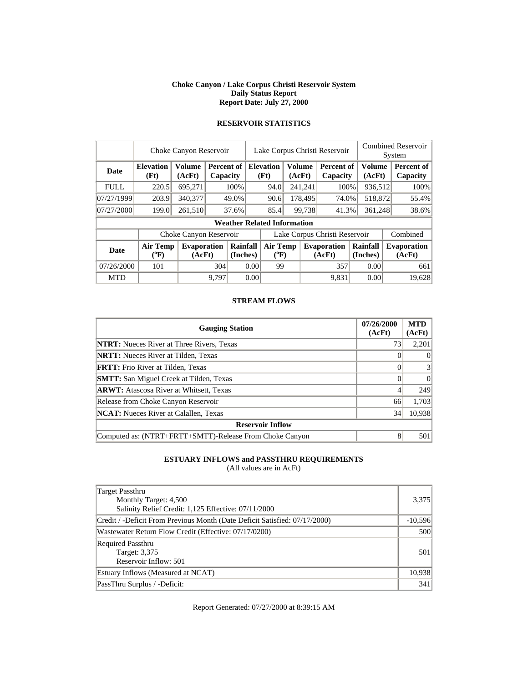#### **Choke Canyon / Lake Corpus Christi Reservoir System Daily Status Report Report Date: July 27, 2000**

|             | Choke Canyon Reservoir           |                              |       |                                           |                               | Lake Corpus Christi Reservoir      |         |                  |                              |                         |  | <b>Combined Reservoir</b><br>System |  |  |
|-------------|----------------------------------|------------------------------|-------|-------------------------------------------|-------------------------------|------------------------------------|---------|------------------|------------------------------|-------------------------|--|-------------------------------------|--|--|
| Date        | <b>Elevation</b><br>(Ft)         | <b>Volume</b><br>(AcFt)      |       | <b>Percent of   Elevation</b><br>Capacity |                               | (Ft)                               |         | Volume<br>(AcFt) | Percent of<br>Capacity       | <b>Volume</b><br>(AcFt) |  | Percent of<br>Capacity              |  |  |
| <b>FULL</b> | 220.5                            | 695,271                      |       | 100%                                      |                               | 94.0                               | 241,241 |                  | 100%                         | 936,512                 |  | 100%                                |  |  |
| 07/27/1999  | 203.9                            | 340,377                      |       | 49.0%                                     |                               | 90.6                               |         | 178,495          | 74.0%                        | 518,872                 |  | 55.4%                               |  |  |
| 07/27/2000  | 199.0                            | 261,510                      |       | 37.6%                                     |                               | 85.4                               |         | 99,738           | 41.3%                        | 361,248                 |  | 38.6%                               |  |  |
|             |                                  |                              |       |                                           |                               | <b>Weather Related Information</b> |         |                  |                              |                         |  |                                     |  |  |
|             |                                  | Choke Canyon Reservoir       |       |                                           | Lake Corpus Christi Reservoir |                                    |         |                  |                              |                         |  | Combined                            |  |  |
| <b>Date</b> | <b>Air Temp</b><br>$\rm ^{(9}F)$ | <b>Evaporation</b><br>(AcFt) |       | Rainfall<br>(Inches)                      |                               | <b>Air Temp</b><br>$(^{0}F)$       |         |                  | <b>Evaporation</b><br>(AcFt) | Rainfall<br>(Inches)    |  | <b>Evaporation</b><br>(AcFt)        |  |  |
| 07/26/2000  | 101                              |                              |       | 304<br>0.00                               |                               | 99                                 |         |                  | 357                          | 0.00                    |  | 661                                 |  |  |
| <b>MTD</b>  |                                  |                              | 9.797 |                                           | 0.00                          |                                    |         |                  | 9.831                        | 0.00                    |  | 19.628                              |  |  |

# **RESERVOIR STATISTICS**

#### **STREAM FLOWS**

| <b>Gauging Station</b>                                  | 07/26/2000<br>(AcFt) | <b>MTD</b><br>(AcFt) |
|---------------------------------------------------------|----------------------|----------------------|
| <b>NTRT:</b> Nueces River at Three Rivers, Texas        | 73                   | 2,201                |
| <b>NRTT:</b> Nueces River at Tilden, Texas              |                      | $\theta$             |
| <b>FRTT:</b> Frio River at Tilden, Texas                |                      | 3                    |
| <b>SMTT:</b> San Miguel Creek at Tilden, Texas          |                      | $\theta$             |
| <b>ARWT:</b> Atascosa River at Whitsett, Texas          |                      | 249                  |
| Release from Choke Canyon Reservoir                     | 66                   | 1,703                |
| <b>NCAT:</b> Nueces River at Calallen, Texas            | 34                   | 10,938               |
| <b>Reservoir Inflow</b>                                 |                      |                      |
| Computed as: (NTRT+FRTT+SMTT)-Release From Choke Canyon | 8                    | 501                  |

### **ESTUARY INFLOWS and PASSTHRU REQUIREMENTS**

(All values are in AcFt)

| Target Passthru<br>Monthly Target: 4,500<br>Salinity Relief Credit: 1,125 Effective: 07/11/2000 | 3,375     |
|-------------------------------------------------------------------------------------------------|-----------|
| Credit / -Deficit From Previous Month (Date Deficit Satisfied: 07/17/2000)                      | $-10,596$ |
| Wastewater Return Flow Credit (Effective: 07/17/0200)                                           | 500       |
| <b>Required Passthru</b><br>Target: 3,375<br>Reservoir Inflow: 501                              | 501       |
| Estuary Inflows (Measured at NCAT)                                                              | 10,938    |
| PassThru Surplus / -Deficit:                                                                    | 341       |

Report Generated: 07/27/2000 at 8:39:15 AM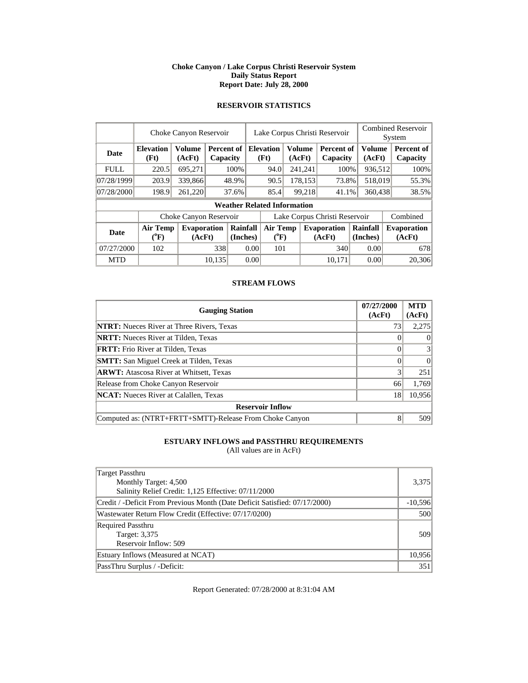#### **Choke Canyon / Lake Corpus Christi Reservoir System Daily Status Report Report Date: July 28, 2000**

### **RESERVOIR STATISTICS**

|             | Choke Canyon Reservoir                |                              |        |                        |                               | Lake Corpus Christi Reservoir |        |         |                               |  |                         |          | <b>Combined Reservoir</b><br>System |
|-------------|---------------------------------------|------------------------------|--------|------------------------|-------------------------------|-------------------------------|--------|---------|-------------------------------|--|-------------------------|----------|-------------------------------------|
| <b>Date</b> | <b>Elevation</b><br>(Ft)              | <b>Volume</b><br>(AcFt)      |        | Percent of<br>Capacity |                               | <b>Elevation</b><br>(Ft)      | (AcFt) | Volume  | <b>Percent of</b><br>Capacity |  | <b>Volume</b><br>(AcFt) |          | Percent of<br>Capacity              |
| <b>FULL</b> | 220.5                                 | 695,271                      |        | 100%                   |                               | 94.0                          |        | 241,241 | 100%                          |  | 936,512                 |          | 100%                                |
| 07/28/1999  | 203.9                                 | 339,866                      |        | 48.9%                  |                               | 90.5                          |        | 178,153 | 73.8%                         |  | 518,019                 |          | 55.3%                               |
| 07/28/2000  | 198.9                                 | 261,220                      |        | 37.6%                  | 85.4                          |                               |        | 99,218  | 41.1%                         |  | 360,438                 |          | 38.5%                               |
|             | <b>Weather Related Information</b>    |                              |        |                        |                               |                               |        |         |                               |  |                         |          |                                     |
|             |                                       | Choke Canyon Reservoir       |        |                        | Lake Corpus Christi Reservoir |                               |        |         |                               |  |                         | Combined |                                     |
| Date        | <b>Air Temp</b><br>$(^{0}\mathrm{F})$ | <b>Evaporation</b><br>(AcFt) |        | Rainfall<br>(Inches)   |                               | Air Temp<br>$(^{0}F)$         |        |         | <b>Evaporation</b><br>(AcFt)  |  | Rainfall<br>(Inches)    |          | <b>Evaporation</b><br>(AcFt)        |
| 07/27/2000  | 102                                   |                              |        | 338<br>0.00            |                               | 101                           |        |         | 340                           |  | 0.00                    |          | 678                                 |
| <b>MTD</b>  |                                       |                              | 10.135 |                        | 0.00                          |                               |        |         | 10.171                        |  | 0.00                    |          | 20,306                              |

### **STREAM FLOWS**

| <b>Gauging Station</b>                                  | 07/27/2000<br>(AcFt) | <b>MTD</b><br>(AcFt) |
|---------------------------------------------------------|----------------------|----------------------|
| <b>NTRT:</b> Nueces River at Three Rivers, Texas        | 73                   | 2,275                |
| <b>NRTT:</b> Nueces River at Tilden, Texas              |                      | $\theta$             |
| <b>FRTT:</b> Frio River at Tilden, Texas                |                      | 3                    |
| <b>SMTT:</b> San Miguel Creek at Tilden, Texas          |                      | $\Omega$             |
| <b>ARWT:</b> Atascosa River at Whitsett, Texas          | 3                    | 251                  |
| Release from Choke Canyon Reservoir                     | 66                   | 1,769                |
| <b>NCAT:</b> Nueces River at Calallen, Texas            | 18                   | 10,956               |
| <b>Reservoir Inflow</b>                                 |                      |                      |
| Computed as: (NTRT+FRTT+SMTT)-Release From Choke Canyon | 8                    | 509                  |

# **ESTUARY INFLOWS and PASSTHRU REQUIREMENTS**

(All values are in AcFt)

| Target Passthru                                                            |           |
|----------------------------------------------------------------------------|-----------|
| Monthly Target: 4,500                                                      | 3,375     |
| Salinity Relief Credit: 1,125 Effective: 07/11/2000                        |           |
| Credit / -Deficit From Previous Month (Date Deficit Satisfied: 07/17/2000) | $-10,596$ |
| Wastewater Return Flow Credit (Effective: 07/17/0200)                      | 500       |
| <b>Required Passthru</b>                                                   |           |
| Target: 3,375                                                              | 509       |
| Reservoir Inflow: 509                                                      |           |
| Estuary Inflows (Measured at NCAT)                                         | 10,956    |
| PassThru Surplus / -Deficit:                                               | 351       |

Report Generated: 07/28/2000 at 8:31:04 AM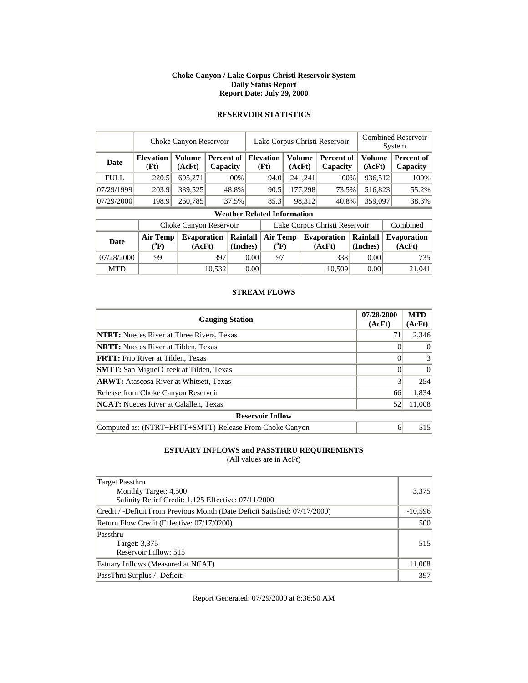#### **Choke Canyon / Lake Corpus Christi Reservoir System Daily Status Report Report Date: July 29, 2000**

|             | Choke Canyon Reservoir         |                              |                        |                      |      | Lake Corpus Christi Reservoir                |    |                 |                              |                      | <b>Combined Reservoir</b><br>System |                               |  |
|-------------|--------------------------------|------------------------------|------------------------|----------------------|------|----------------------------------------------|----|-----------------|------------------------------|----------------------|-------------------------------------|-------------------------------|--|
| <b>Date</b> | <b>Elevation</b><br>(Ft)       | <b>Volume</b><br>(AcFt)      | Percent of<br>Capacity |                      |      | <b>Elevation</b><br>Volume<br>(Ft)<br>(AcFt) |    |                 | Percent of<br>Capacity       | Volume               | (AcFt)                              | <b>Percent of</b><br>Capacity |  |
| <b>FULL</b> | 220.5                          | 695,271                      |                        | 100%                 |      | 94.0                                         |    | 241,241         | 100%                         |                      | 936,512                             | 100%                          |  |
| 07/29/1999  | 203.9                          | 339,525                      | 48.8%                  |                      |      | 90.5                                         |    | 177,298         | 73.5%                        |                      | 516,823                             | 55.2%                         |  |
| 07/29/2000  | 198.9                          | 260,785                      | 37.5%                  |                      |      | 85.3                                         |    | 98,312<br>40.8% |                              | 359,097              |                                     | 38.3%                         |  |
|             |                                |                              |                        |                      |      | <b>Weather Related Information</b>           |    |                 |                              |                      |                                     |                               |  |
|             | Choke Canyon Reservoir         |                              |                        |                      |      | Lake Corpus Christi Reservoir                |    |                 |                              |                      |                                     | Combined                      |  |
| <b>Date</b> | Air Temp<br>$({}^0\mathrm{F})$ | <b>Evaporation</b><br>(AcFt) |                        | Rainfall<br>(Inches) |      | <b>Air Temp</b><br>$({}^0\mathrm{F})$        |    |                 | <b>Evaporation</b><br>(AcFt) | Rainfall<br>(Inches) |                                     | <b>Evaporation</b><br>(AcFt)  |  |
| 07/28/2000  | 99                             |                              | 397                    | 0.00                 |      |                                              | 97 |                 | 338                          | 0.00                 |                                     | 735                           |  |
| <b>MTD</b>  |                                |                              | 10.532                 |                      | 0.00 |                                              |    |                 | 10.509                       | 0.00                 |                                     | 21,041                        |  |

### **RESERVOIR STATISTICS**

### **STREAM FLOWS**

| <b>Gauging Station</b>                                  | 07/28/2000<br>(AcFt) | <b>MTD</b><br>(AcFt) |
|---------------------------------------------------------|----------------------|----------------------|
| <b>NTRT:</b> Nueces River at Three Rivers, Texas        | 71                   | 2,346                |
| <b>NRTT:</b> Nueces River at Tilden, Texas              |                      | $\Omega$             |
| <b>FRTT:</b> Frio River at Tilden, Texas                |                      | 3                    |
| <b>SMTT:</b> San Miguel Creek at Tilden, Texas          |                      | $\theta$             |
| <b>ARWT:</b> Atascosa River at Whitsett, Texas          |                      | 254                  |
| Release from Choke Canyon Reservoir                     | 66                   | 1,834                |
| <b>NCAT:</b> Nueces River at Calallen, Texas            | 52                   | 11,008               |
| <b>Reservoir Inflow</b>                                 |                      |                      |
| Computed as: (NTRT+FRTT+SMTT)-Release From Choke Canyon | 6                    | 515                  |

### **ESTUARY INFLOWS and PASSTHRU REQUIREMENTS**

(All values are in AcFt)

| Target Passthru<br>Monthly Target: 4,500<br>Salinity Relief Credit: 1,125 Effective: 07/11/2000 | 3,375     |
|-------------------------------------------------------------------------------------------------|-----------|
| Credit / -Deficit From Previous Month (Date Deficit Satisfied: 07/17/2000)                      | $-10,596$ |
| Return Flow Credit (Effective: 07/17/0200)                                                      | 500       |
| Passthru<br>Target: 3,375<br>Reservoir Inflow: 515                                              | 515       |
| Estuary Inflows (Measured at NCAT)                                                              | 11,008    |
| PassThru Surplus / -Deficit:                                                                    | 397       |

Report Generated: 07/29/2000 at 8:36:50 AM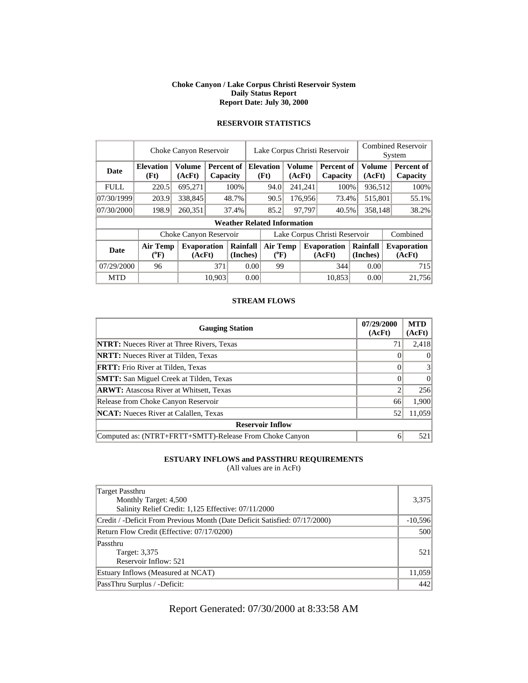#### **Choke Canyon / Lake Corpus Christi Reservoir System Daily Status Report Report Date: July 30, 2000**

|             | Choke Canyon Reservoir   |                              |                        |                      |      | Lake Corpus Christi Reservoir      |        |                                                   |                              |  | <b>Combined Reservoir</b><br>System |  |                              |
|-------------|--------------------------|------------------------------|------------------------|----------------------|------|------------------------------------|--------|---------------------------------------------------|------------------------------|--|-------------------------------------|--|------------------------------|
| <b>Date</b> | <b>Elevation</b><br>(Ft) | <b>Volume</b><br>(AcFt)      | Percent of<br>Capacity |                      |      | <b>Elevation</b><br>(Ft)           |        | <b>Volume</b><br>Percent of<br>(AcFt)<br>Capacity |                              |  | Volume<br>(AcFt)                    |  | Percent of<br>Capacity       |
| <b>FULL</b> | 220.5                    | 695,271                      |                        | 100%                 |      | 94.0                               |        | 241,241                                           | 100%                         |  | 936,512                             |  | 100%                         |
| 07/30/1999  | 203.9                    | 338,845                      | 48.7%                  |                      |      | 90.5                               |        | 176,956<br>73.4%                                  |                              |  | 515,801                             |  | 55.1%                        |
| 07/30/2000  | 198.9                    | 260,351                      | 37.4%                  |                      |      | 85.2                               | 97.797 |                                                   | 40.5%                        |  | 358.148                             |  | 38.2%                        |
|             |                          |                              |                        |                      |      | <b>Weather Related Information</b> |        |                                                   |                              |  |                                     |  |                              |
|             | Choke Canyon Reservoir   |                              |                        |                      |      | Lake Corpus Christi Reservoir      |        |                                                   |                              |  | Combined                            |  |                              |
| <b>Date</b> | <b>Air Temp</b><br>(°F)  | <b>Evaporation</b><br>(AcFt) |                        | Rainfall<br>(Inches) |      | <b>Air Temp</b><br>$(^{0}F)$       |        |                                                   | <b>Evaporation</b><br>(AcFt) |  | Rainfall<br>(Inches)                |  | <b>Evaporation</b><br>(AcFt) |
| 07/29/2000  | 96                       |                              | 371                    | 0.00                 |      | 99                                 |        |                                                   | 344                          |  | 0.00                                |  | 715                          |
| <b>MTD</b>  |                          |                              | 10.903                 |                      | 0.00 |                                    |        |                                                   | 10.853                       |  | 0.00                                |  | 21.756                       |

# **RESERVOIR STATISTICS**

#### **STREAM FLOWS**

| <b>Gauging Station</b>                                  | 07/29/2000<br>(AcFt) | <b>MTD</b><br>(AcFt) |
|---------------------------------------------------------|----------------------|----------------------|
| <b>NTRT:</b> Nueces River at Three Rivers, Texas        | 71                   | 2,418                |
| <b>NRTT:</b> Nueces River at Tilden, Texas              |                      | $\theta$             |
| <b>FRTT:</b> Frio River at Tilden, Texas                |                      | 3                    |
| <b>SMTT:</b> San Miguel Creek at Tilden, Texas          |                      | $\theta$             |
| <b>ARWT:</b> Atascosa River at Whitsett, Texas          |                      | 256                  |
| Release from Choke Canyon Reservoir                     | 66                   | 1,900                |
| <b>NCAT:</b> Nueces River at Calallen, Texas            | 52                   | 11,059               |
| <b>Reservoir Inflow</b>                                 |                      |                      |
| Computed as: (NTRT+FRTT+SMTT)-Release From Choke Canyon | 6                    | 521                  |

### **ESTUARY INFLOWS and PASSTHRU REQUIREMENTS**

(All values are in AcFt)

| Target Passthru                                                            |           |
|----------------------------------------------------------------------------|-----------|
| Monthly Target: 4,500                                                      | 3,375     |
| Salinity Relief Credit: 1,125 Effective: 07/11/2000                        |           |
| Credit / -Deficit From Previous Month (Date Deficit Satisfied: 07/17/2000) | $-10,596$ |
| Return Flow Credit (Effective: 07/17/0200)                                 | 500       |
| Passthru                                                                   |           |
| Target: 3,375                                                              | 521       |
| Reservoir Inflow: 521                                                      |           |
| Estuary Inflows (Measured at NCAT)                                         | 11,059    |
| PassThru Surplus / -Deficit:                                               | 442       |

# Report Generated: 07/30/2000 at 8:33:58 AM